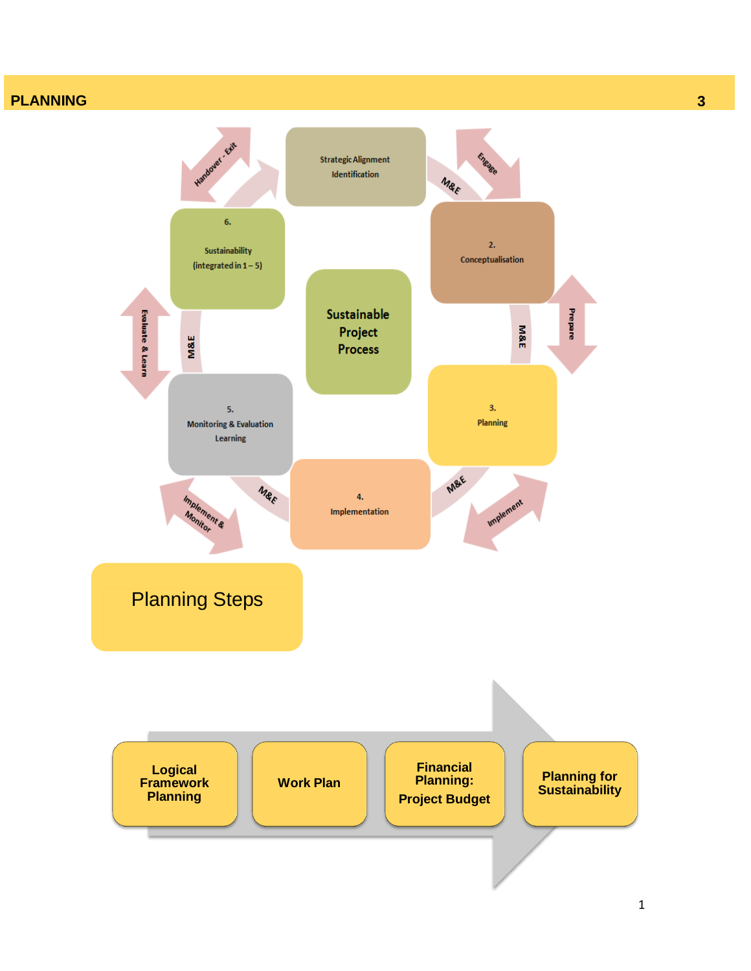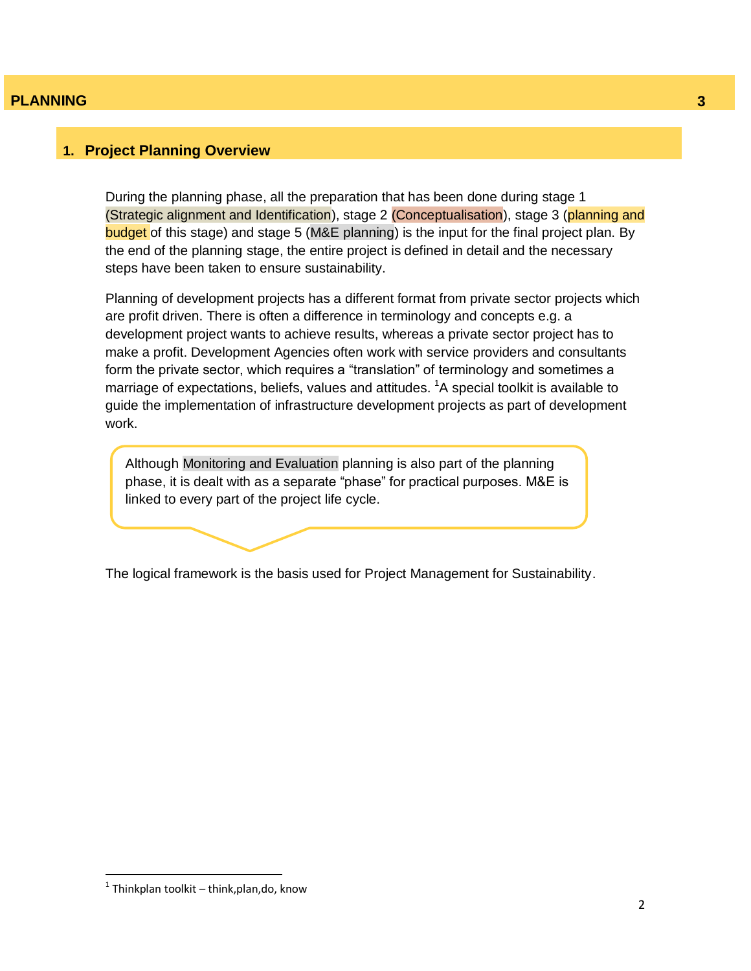#### **1. Project Planning Overview**

During the planning phase, all the preparation that has been done during stage 1 (Strategic alignment and Identification), stage 2 (Conceptualisation), stage 3 (planning and budget of this stage) and stage 5 (M&E planning) is the input for the final project plan. By the end of the planning stage, the entire project is defined in detail and the necessary steps have been taken to ensure sustainability.

Planning of development projects has a different format from private sector projects which are profit driven. There is often a difference in terminology and concepts e.g. a development project wants to achieve results, whereas a private sector project has to make a profit. Development Agencies often work with service providers and consultants form the private sector, which requires a "translation" of terminology and sometimes a marriage of expectations, beliefs, values and attitudes.  ${}^{1}$ A special toolkit is available to guide the implementation of infrastructure development projects as part of development work.

Although Monitoring and Evaluation planning is also part of the planning phase, it is dealt with as a separate "phase" for practical purposes. M&E is linked to every part of the project life cycle.

The logical framework is the basis used for Project Management for Sustainability.

 $\overline{a}$ 

 $<sup>1</sup>$  Thinkplan toolkit – think,plan,do, know</sup>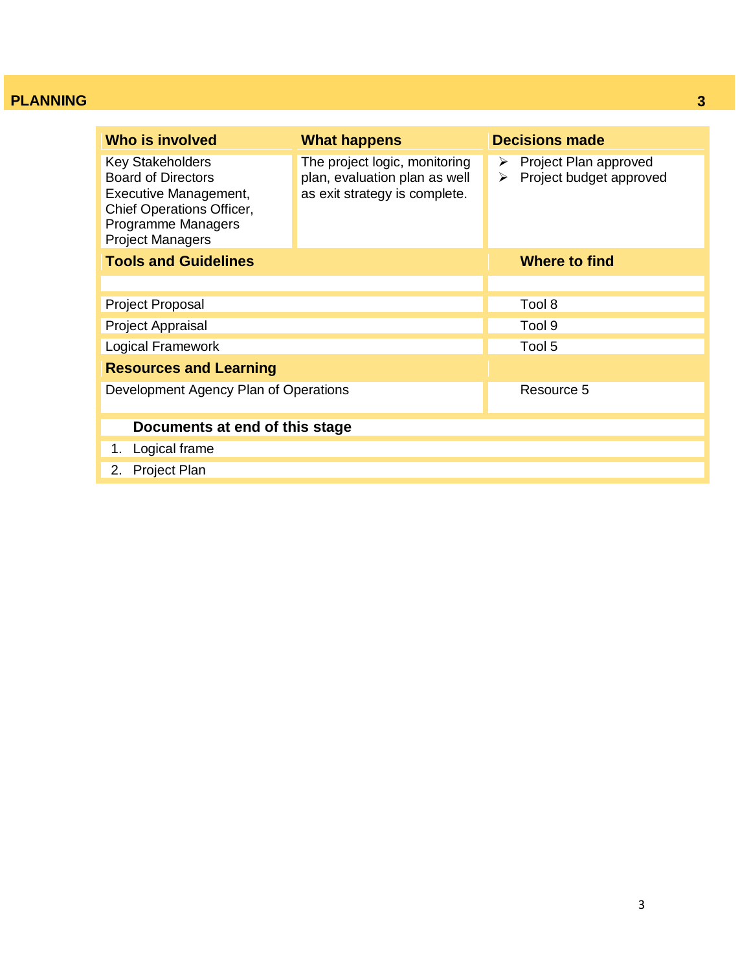| Who is involved                                                                                                                                             | <b>What happens</b>                                                                             | <b>Decisions made</b>                                      |
|-------------------------------------------------------------------------------------------------------------------------------------------------------------|-------------------------------------------------------------------------------------------------|------------------------------------------------------------|
| <b>Key Stakeholders</b><br><b>Board of Directors</b><br>Executive Management,<br>Chief Operations Officer,<br>Programme Managers<br><b>Project Managers</b> | The project logic, monitoring<br>plan, evaluation plan as well<br>as exit strategy is complete. | Project Plan approved<br>➤<br>Project budget approved<br>≻ |
| <b>Tools and Guidelines</b>                                                                                                                                 |                                                                                                 | Where to find                                              |
|                                                                                                                                                             |                                                                                                 |                                                            |
| <b>Project Proposal</b>                                                                                                                                     |                                                                                                 | Tool 8                                                     |
| Project Appraisal                                                                                                                                           |                                                                                                 | Tool 9                                                     |
| Logical Framework                                                                                                                                           |                                                                                                 | Tool 5                                                     |
| <b>Resources and Learning</b>                                                                                                                               |                                                                                                 |                                                            |
| Development Agency Plan of Operations                                                                                                                       |                                                                                                 | Resource 5                                                 |
| Documents at end of this stage                                                                                                                              |                                                                                                 |                                                            |
| Logical frame<br>1.                                                                                                                                         |                                                                                                 |                                                            |
| <b>Project Plan</b><br>2.                                                                                                                                   |                                                                                                 |                                                            |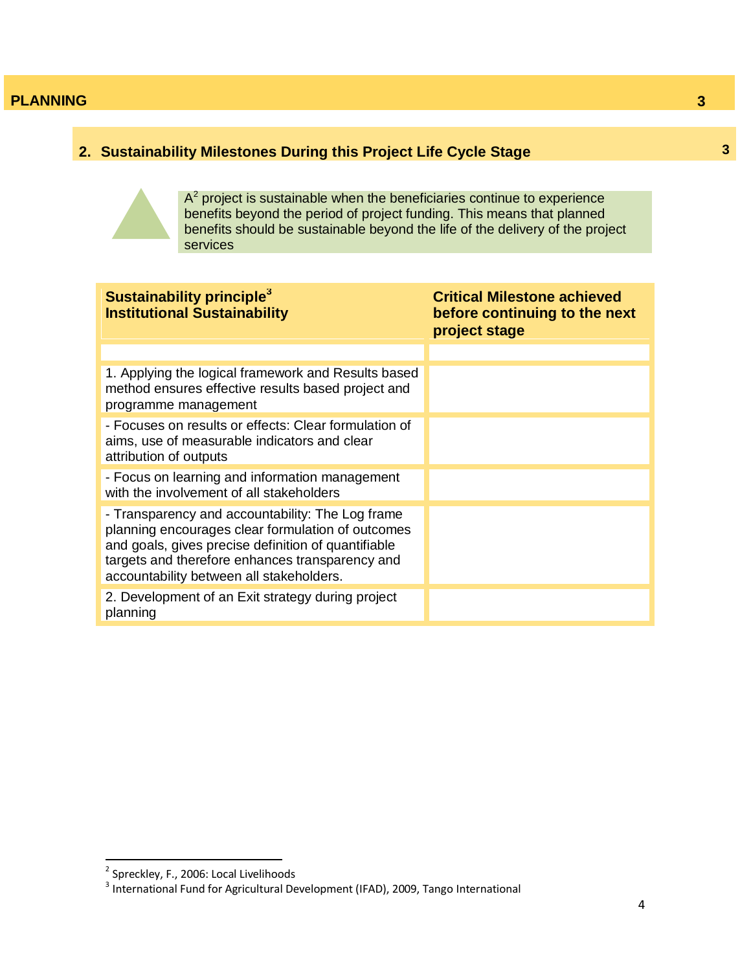# **2. Sustainability Milestones During this Project Life Cycle Stage**



 $A<sup>2</sup>$  project is sustainable when the beneficiaries continue to experience benefits beyond the period of project funding. This means that planned benefits should be sustainable beyond the life of the delivery of the project services

| Sustainability principle <sup>3</sup><br><b>Institutional Sustainability</b>                                                                                                                                                                                | <b>Critical Milestone achieved</b><br>before continuing to the next<br>project stage |
|-------------------------------------------------------------------------------------------------------------------------------------------------------------------------------------------------------------------------------------------------------------|--------------------------------------------------------------------------------------|
|                                                                                                                                                                                                                                                             |                                                                                      |
| 1. Applying the logical framework and Results based<br>method ensures effective results based project and<br>programme management                                                                                                                           |                                                                                      |
| - Focuses on results or effects: Clear formulation of<br>aims, use of measurable indicators and clear<br>attribution of outputs                                                                                                                             |                                                                                      |
| - Focus on learning and information management<br>with the involvement of all stakeholders                                                                                                                                                                  |                                                                                      |
| - Transparency and accountability: The Log frame<br>planning encourages clear formulation of outcomes<br>and goals, gives precise definition of quantifiable<br>targets and therefore enhances transparency and<br>accountability between all stakeholders. |                                                                                      |
| 2. Development of an Exit strategy during project<br>planning                                                                                                                                                                                               |                                                                                      |

**3**

 2 Spreckley, F., 2006: Local Livelihoods 3 International Fund for Agricultural Development (IFAD), 2009, Tango International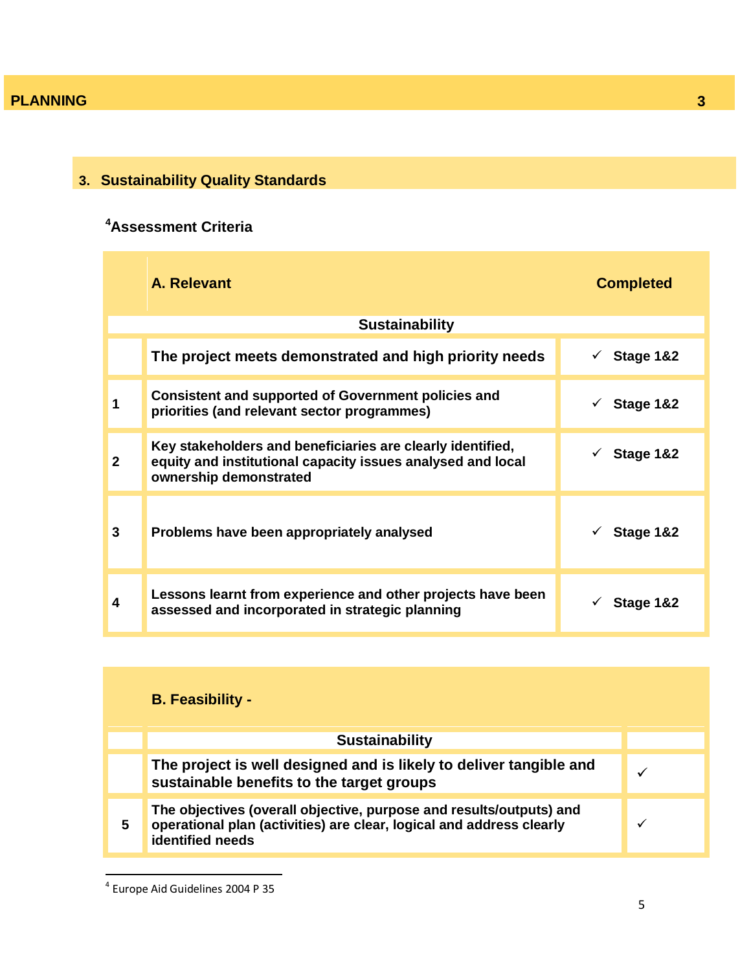# **3. Sustainability Quality Standards**

# **<sup>4</sup>Assessment Criteria**

|              | A. Relevant                                                                                                                                         | <b>Completed</b>          |
|--------------|-----------------------------------------------------------------------------------------------------------------------------------------------------|---------------------------|
|              | <b>Sustainability</b>                                                                                                                               |                           |
|              | The project meets demonstrated and high priority needs                                                                                              | Stage 1&2<br>$\checkmark$ |
|              | <b>Consistent and supported of Government policies and</b><br>priorities (and relevant sector programmes)                                           | $\checkmark$ Stage 1&2    |
| $\mathbf{2}$ | Key stakeholders and beneficiaries are clearly identified,<br>equity and institutional capacity issues analysed and local<br>ownership demonstrated | $\checkmark$ Stage 1&2    |
| 3            | Problems have been appropriately analysed                                                                                                           | $\checkmark$ Stage 1&2    |
| 4            | Lessons learnt from experience and other projects have been<br>assessed and incorporated in strategic planning                                      | Stage 1&2                 |

|   | <b>B.</b> Feasibility -                                                                                                                                         |  |
|---|-----------------------------------------------------------------------------------------------------------------------------------------------------------------|--|
|   | <b>Sustainability</b>                                                                                                                                           |  |
|   | The project is well designed and is likely to deliver tangible and<br>sustainable benefits to the target groups                                                 |  |
| 5 | The objectives (overall objective, purpose and results/outputs) and<br>operational plan (activities) are clear, logical and address clearly<br>identified needs |  |

 4 Europe Aid Guidelines 2004 P 35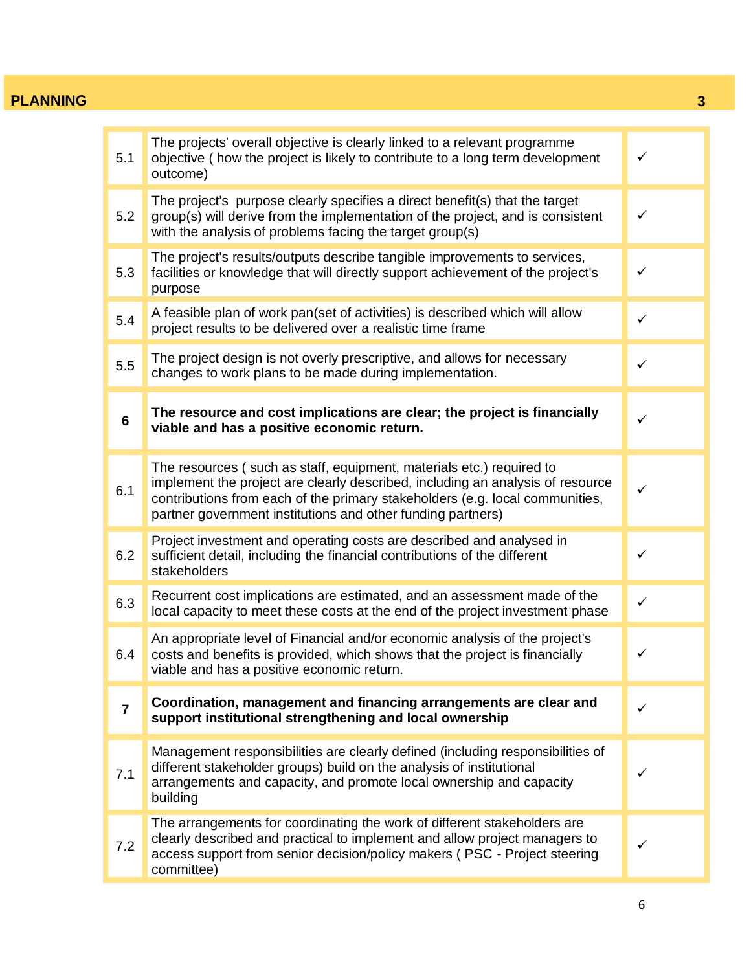| 5.1             | The projects' overall objective is clearly linked to a relevant programme<br>objective (how the project is likely to contribute to a long term development<br>outcome)                                                                                                                                | $\checkmark$ |
|-----------------|-------------------------------------------------------------------------------------------------------------------------------------------------------------------------------------------------------------------------------------------------------------------------------------------------------|--------------|
| 5.2             | The project's purpose clearly specifies a direct benefit(s) that the target<br>group(s) will derive from the implementation of the project, and is consistent<br>with the analysis of problems facing the target group(s)                                                                             | ✓            |
| 5.3             | The project's results/outputs describe tangible improvements to services,<br>facilities or knowledge that will directly support achievement of the project's<br>purpose                                                                                                                               | $\checkmark$ |
| 5.4             | A feasible plan of work pan(set of activities) is described which will allow<br>project results to be delivered over a realistic time frame                                                                                                                                                           | $\checkmark$ |
| 5.5             | The project design is not overly prescriptive, and allows for necessary<br>changes to work plans to be made during implementation.                                                                                                                                                                    | $\checkmark$ |
| $6\phantom{1}6$ | The resource and cost implications are clear; the project is financially<br>viable and has a positive economic return.                                                                                                                                                                                | $\checkmark$ |
| 6.1             | The resources (such as staff, equipment, materials etc.) required to<br>implement the project are clearly described, including an analysis of resource<br>contributions from each of the primary stakeholders (e.g. local communities,<br>partner government institutions and other funding partners) | $\checkmark$ |
| 6.2             | Project investment and operating costs are described and analysed in<br>sufficient detail, including the financial contributions of the different<br>stakeholders                                                                                                                                     | $\checkmark$ |
| 6.3             | Recurrent cost implications are estimated, and an assessment made of the<br>local capacity to meet these costs at the end of the project investment phase                                                                                                                                             | $\checkmark$ |
| 6.4             | An appropriate level of Financial and/or economic analysis of the project's<br>costs and benefits is provided, which shows that the project is financially<br>viable and has a positive economic return.                                                                                              | $\checkmark$ |
| 7               | Coordination, management and financing arrangements are clear and<br>support institutional strengthening and local ownership                                                                                                                                                                          | ✓            |
| 7.1             | Management responsibilities are clearly defined (including responsibilities of<br>different stakeholder groups) build on the analysis of institutional<br>arrangements and capacity, and promote local ownership and capacity<br>building                                                             | ✓            |
| 7.2             | The arrangements for coordinating the work of different stakeholders are<br>clearly described and practical to implement and allow project managers to<br>access support from senior decision/policy makers (PSC - Project steering<br>committee)                                                     | ✓            |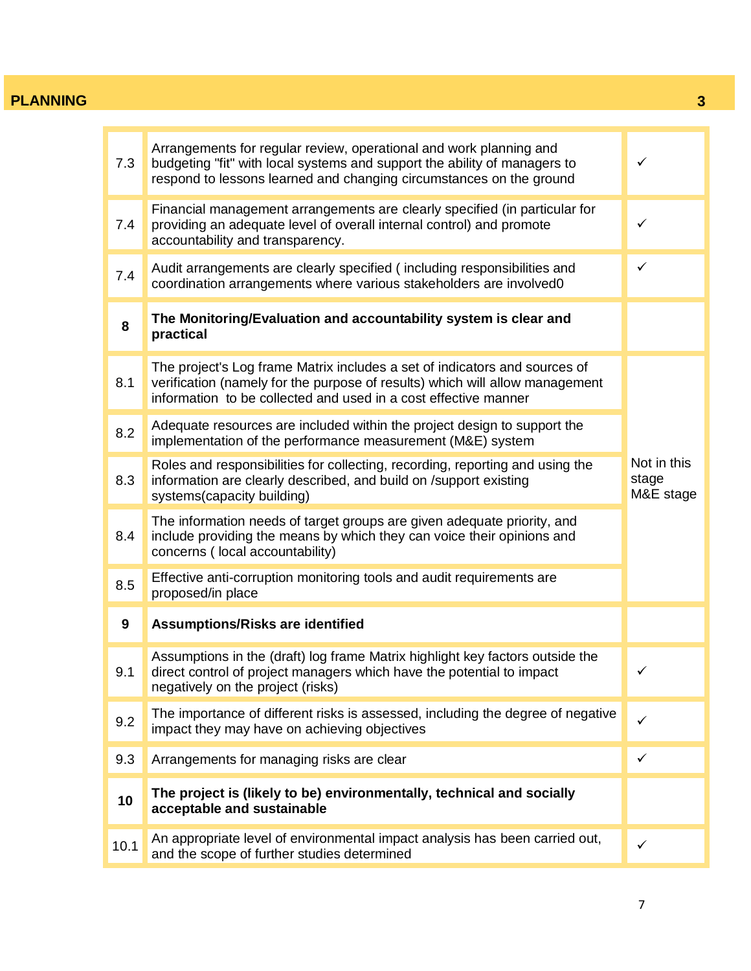$\overline{1}$ 

m.

| 7.3  | Arrangements for regular review, operational and work planning and<br>budgeting "fit" with local systems and support the ability of managers to<br>respond to lessons learned and changing circumstances on the ground        | $\checkmark$                      |
|------|-------------------------------------------------------------------------------------------------------------------------------------------------------------------------------------------------------------------------------|-----------------------------------|
| 7.4  | Financial management arrangements are clearly specified (in particular for<br>providing an adequate level of overall internal control) and promote<br>accountability and transparency.                                        | ✓                                 |
| 7.4  | Audit arrangements are clearly specified (including responsibilities and<br>coordination arrangements where various stakeholders are involved0                                                                                | $\checkmark$                      |
| 8    | The Monitoring/Evaluation and accountability system is clear and<br>practical                                                                                                                                                 |                                   |
| 8.1  | The project's Log frame Matrix includes a set of indicators and sources of<br>verification (namely for the purpose of results) which will allow management<br>information to be collected and used in a cost effective manner |                                   |
| 8.2  | Adequate resources are included within the project design to support the<br>implementation of the performance measurement (M&E) system                                                                                        |                                   |
| 8.3  | Roles and responsibilities for collecting, recording, reporting and using the<br>information are clearly described, and build on /support existing<br>systems(capacity building)                                              | Not in this<br>stage<br>M&E stage |
| 8.4  | The information needs of target groups are given adequate priority, and<br>include providing the means by which they can voice their opinions and<br>concerns (local accountability)                                          |                                   |
| 8.5  | Effective anti-corruption monitoring tools and audit requirements are<br>proposed/in place                                                                                                                                    |                                   |
| 9    | Assumptions/Risks are identified                                                                                                                                                                                              |                                   |
| 9.1  | Assumptions in the (draft) log frame Matrix highlight key factors outside the<br>direct control of project managers which have the potential to impact<br>negatively on the project (risks)                                   | $\checkmark$                      |
| 9.2  | The importance of different risks is assessed, including the degree of negative<br>impact they may have on achieving objectives                                                                                               | ✓                                 |
| 9.3  | Arrangements for managing risks are clear                                                                                                                                                                                     | ✓                                 |
| 10   | The project is (likely to be) environmentally, technical and socially<br>acceptable and sustainable                                                                                                                           |                                   |
| 10.1 | An appropriate level of environmental impact analysis has been carried out,<br>and the scope of further studies determined                                                                                                    | $\checkmark$                      |

Ĥ.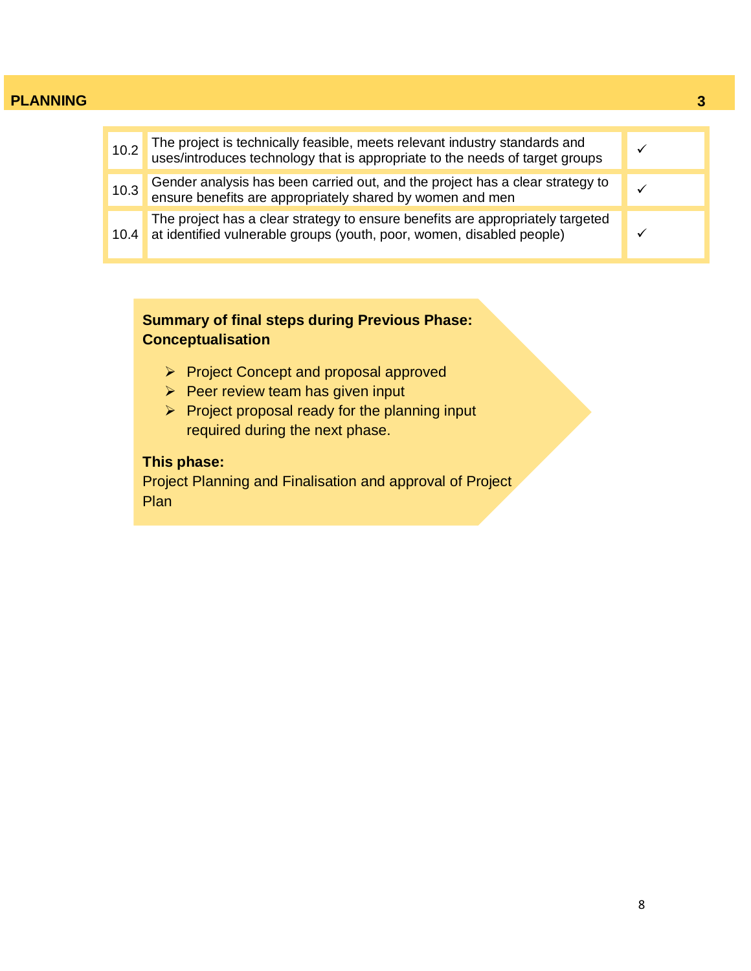| 10.2 | The project is technically feasible, meets relevant industry standards and uses/introduces technology that is appropriate to the needs of target groups |  |
|------|---------------------------------------------------------------------------------------------------------------------------------------------------------|--|
| 10.3 | Gender analysis has been carried out, and the project has a clear strategy to ensure benefits are appropriately shared by women and men                 |  |
| 10.4 | The project has a clear strategy to ensure benefits are appropriately targeted<br>at identified vulnerable groups (youth, poor, women, disabled people) |  |

# **Summary of final steps during Previous Phase: Conceptualisation**

- Project Concept and proposal approved
- $\triangleright$  Peer review team has given input
- $\triangleright$  Project proposal ready for the planning input required during the next phase.

# **This phase:**

Project Planning and Finalisation and approval of Project Plan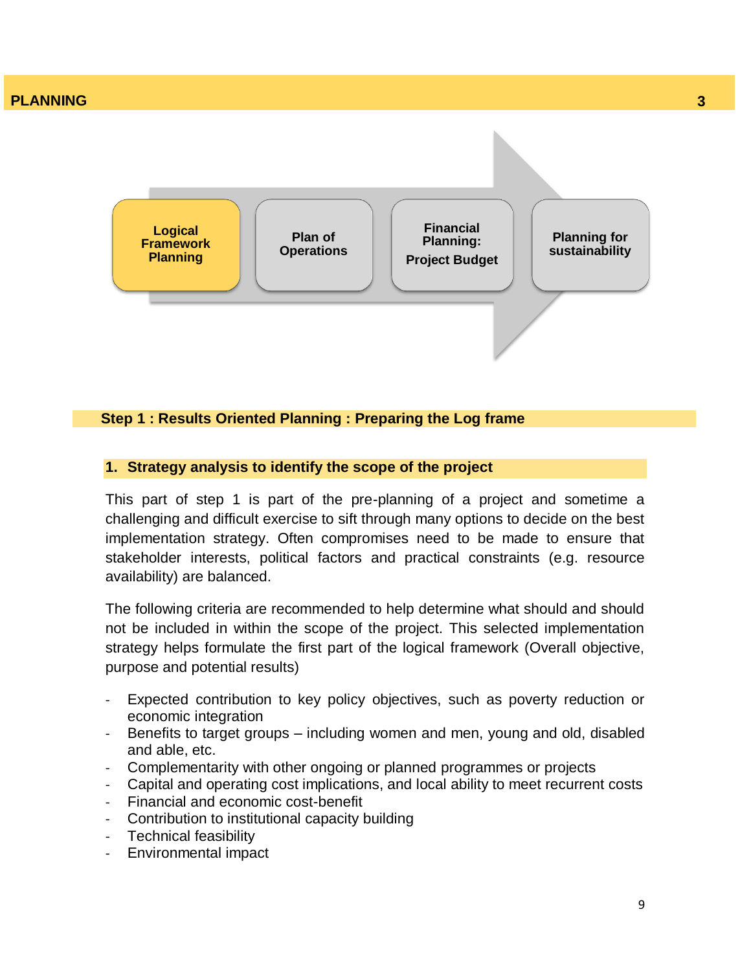

#### **Step 1 : Results Oriented Planning : Preparing the Log frame**

#### **1. Strategy analysis to identify the scope of the project**

This part of step 1 is part of the pre-planning of a project and sometime a challenging and difficult exercise to sift through many options to decide on the best implementation strategy. Often compromises need to be made to ensure that stakeholder interests, political factors and practical constraints (e.g. resource availability) are balanced.

The following criteria are recommended to help determine what should and should not be included in within the scope of the project. This selected implementation strategy helps formulate the first part of the logical framework (Overall objective, purpose and potential results)

- Expected contribution to key policy objectives, such as poverty reduction or economic integration
- Benefits to target groups including women and men, young and old, disabled and able, etc.
- Complementarity with other ongoing or planned programmes or projects
- Capital and operating cost implications, and local ability to meet recurrent costs
- Financial and economic cost-benefit
- Contribution to institutional capacity building
- Technical feasibility
- Environmental impact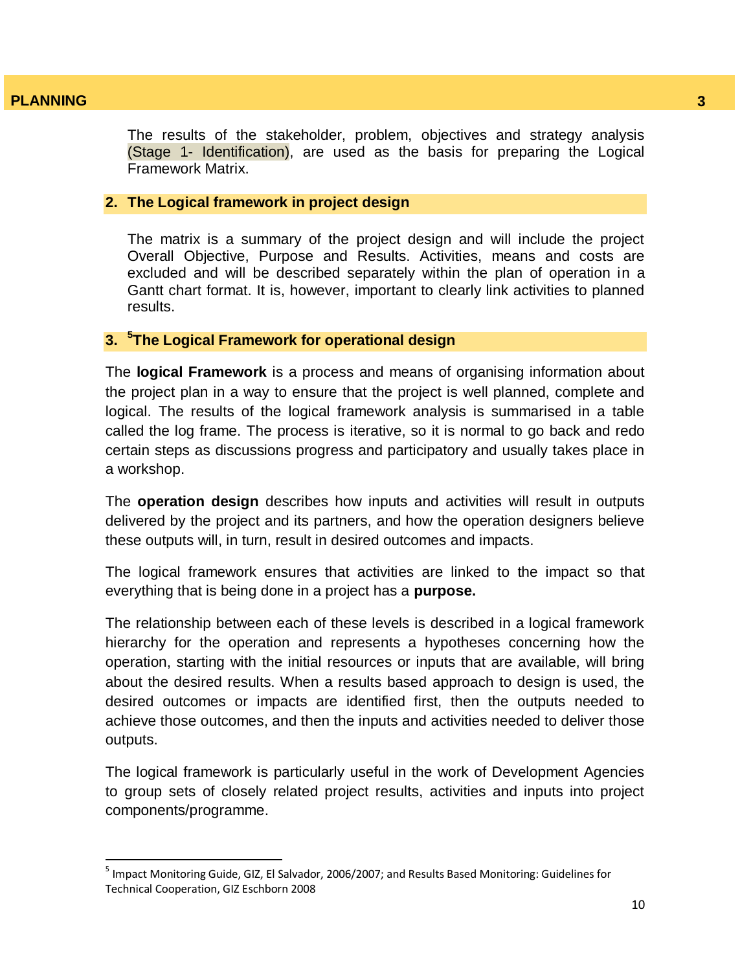$\overline{\phantom{a}}$ 

The results of the stakeholder, problem, objectives and strategy analysis (Stage 1- Identification), are used as the basis for preparing the Logical Framework Matrix.

#### **2. The Logical framework in project design**

The matrix is a summary of the project design and will include the project Overall Objective, Purpose and Results. Activities, means and costs are excluded and will be described separately within the plan of operation in a Gantt chart format. It is, however, important to clearly link activities to planned results.

# **3. <sup>5</sup> The Logical Framework for operational design**

The **logical Framework** is a process and means of organising information about the project plan in a way to ensure that the project is well planned, complete and logical. The results of the logical framework analysis is summarised in a table called the log frame. The process is iterative, so it is normal to go back and redo certain steps as discussions progress and participatory and usually takes place in a workshop.

The **operation design** describes how inputs and activities will result in outputs delivered by the project and its partners, and how the operation designers believe these outputs will, in turn, result in desired outcomes and impacts.

The logical framework ensures that activities are linked to the impact so that everything that is being done in a project has a **purpose.** 

The relationship between each of these levels is described in a logical framework hierarchy for the operation and represents a hypotheses concerning how the operation, starting with the initial resources or inputs that are available, will bring about the desired results. When a results based approach to design is used, the desired outcomes or impacts are identified first, then the outputs needed to achieve those outcomes, and then the inputs and activities needed to deliver those outputs.

The logical framework is particularly useful in the work of Development Agencies to group sets of closely related project results, activities and inputs into project components/programme.

<sup>&</sup>lt;sup>5</sup> Impact Monitoring Guide, GIZ, El Salvador, 2006/2007; and Results Based Monitoring: Guidelines for Technical Cooperation, GIZ Eschborn 2008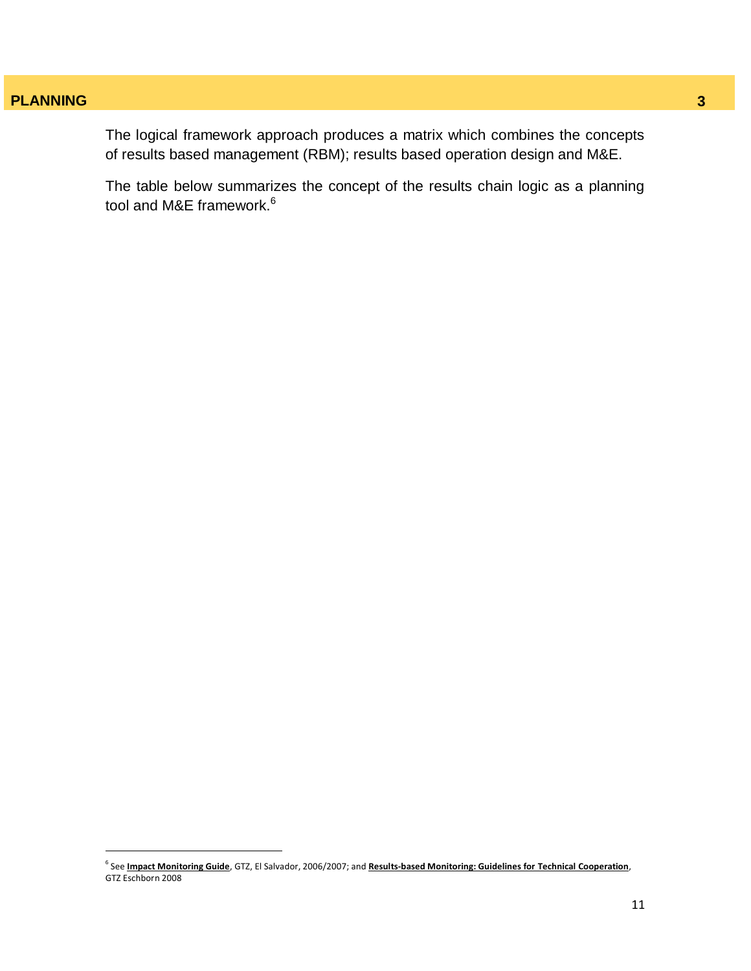$\overline{a}$ 

The logical framework approach produces a matrix which combines the concepts of results based management (RBM); results based operation design and M&E.

The table below summarizes the concept of the results chain logic as a planning tool and M&E framework.<sup>6</sup>

<sup>6</sup> See **Impact Monitoring Guide**, GTZ, El Salvador, 2006/2007; and **Results-based Monitoring: Guidelines for Technical Cooperation**, GTZ Eschborn 2008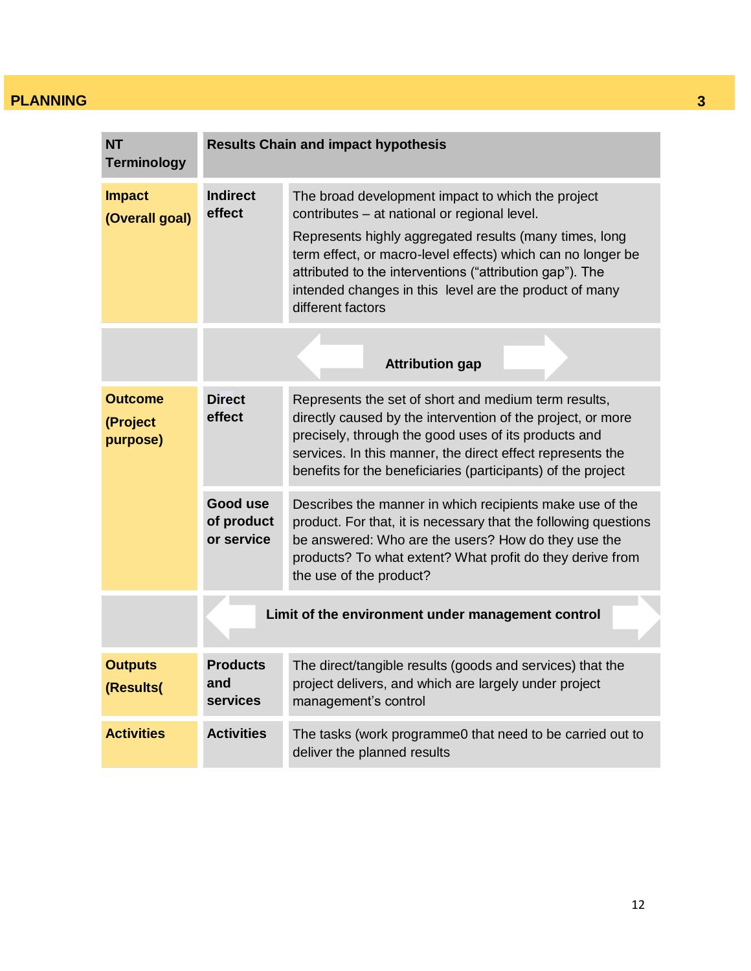| <b>NT</b><br><b>Terminology</b>        | <b>Results Chain and impact hypothesis</b>        |                                                                                                                                                                                                                                                                                                                                                                       |  |  |  |
|----------------------------------------|---------------------------------------------------|-----------------------------------------------------------------------------------------------------------------------------------------------------------------------------------------------------------------------------------------------------------------------------------------------------------------------------------------------------------------------|--|--|--|
| <b>Impact</b><br>(Overall goal)        | <b>Indirect</b><br>effect                         | The broad development impact to which the project<br>contributes - at national or regional level.<br>Represents highly aggregated results (many times, long<br>term effect, or macro-level effects) which can no longer be<br>attributed to the interventions ("attribution gap"). The<br>intended changes in this level are the product of many<br>different factors |  |  |  |
|                                        |                                                   | <b>Attribution gap</b>                                                                                                                                                                                                                                                                                                                                                |  |  |  |
| <b>Outcome</b><br>(Project<br>purpose) | <b>Direct</b><br>effect                           | Represents the set of short and medium term results,<br>directly caused by the intervention of the project, or more<br>precisely, through the good uses of its products and<br>services. In this manner, the direct effect represents the<br>benefits for the beneficiaries (participants) of the project                                                             |  |  |  |
|                                        | Good use<br>of product<br>or service              | Describes the manner in which recipients make use of the<br>product. For that, it is necessary that the following questions<br>be answered: Who are the users? How do they use the<br>products? To what extent? What profit do they derive from<br>the use of the product?                                                                                            |  |  |  |
|                                        | Limit of the environment under management control |                                                                                                                                                                                                                                                                                                                                                                       |  |  |  |
| <b>Outputs</b><br>(Results(            | <b>Products</b><br>and<br><b>services</b>         | The direct/tangible results (goods and services) that the<br>project delivers, and which are largely under project<br>management's control                                                                                                                                                                                                                            |  |  |  |
| <b>Activities</b>                      | <b>Activities</b>                                 | The tasks (work programme0 that need to be carried out to<br>deliver the planned results                                                                                                                                                                                                                                                                              |  |  |  |
|                                        |                                                   |                                                                                                                                                                                                                                                                                                                                                                       |  |  |  |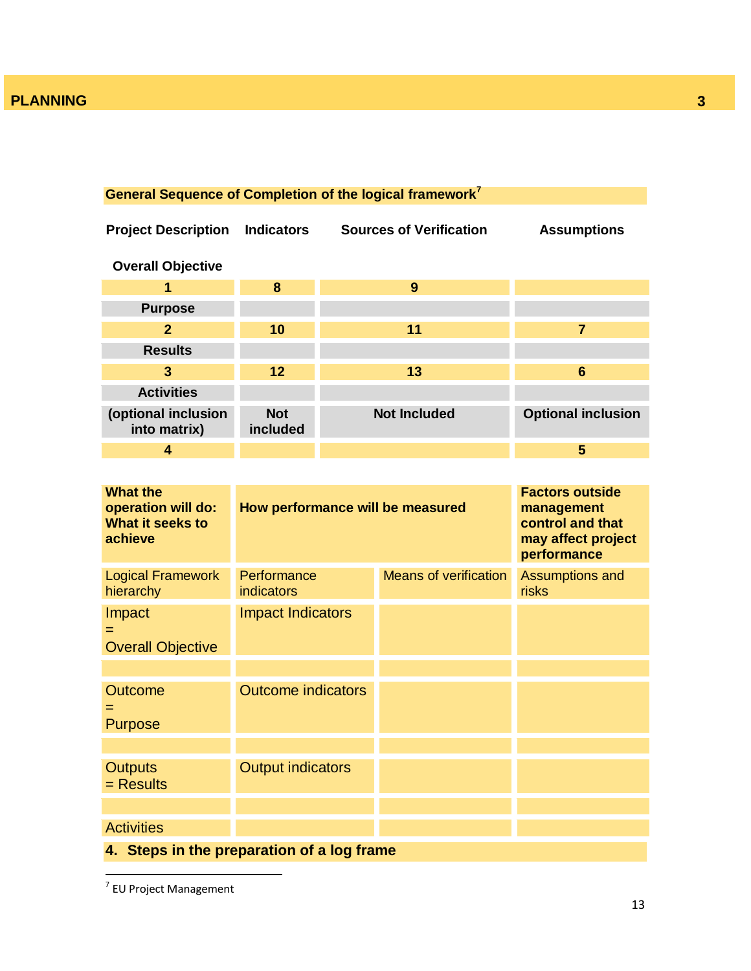# **General Sequence of Completion of the logical framework<sup>7</sup>**

| <b>Project Description</b>          | <b>Indicators</b>      | <b>Sources of Verification</b> | <b>Assumptions</b>        |
|-------------------------------------|------------------------|--------------------------------|---------------------------|
| <b>Overall Objective</b>            |                        |                                |                           |
| 1                                   | 8                      | 9                              |                           |
| <b>Purpose</b>                      |                        |                                |                           |
| $\mathbf{2}$                        | 10                     | 11                             | 7                         |
| <b>Results</b>                      |                        |                                |                           |
| 3                                   | 12                     | 13                             | 6                         |
| <b>Activities</b>                   |                        |                                |                           |
| (optional inclusion<br>into matrix) | <b>Not</b><br>included | <b>Not Included</b>            | <b>Optional inclusion</b> |
| 4                                   |                        |                                | 5                         |

| <b>What the</b><br>operation will do:<br>What it seeks to<br>achieve | How performance will be measured | <b>Factors outside</b><br>management<br>control and that<br>may affect project<br>performance |                                        |
|----------------------------------------------------------------------|----------------------------------|-----------------------------------------------------------------------------------------------|----------------------------------------|
| <b>Logical Framework</b><br>hierarchy                                | Performance<br><b>indicators</b> | <b>Means of verification</b>                                                                  | <b>Assumptions and</b><br><b>risks</b> |
| Impact<br>$=$<br><b>Overall Objective</b>                            | <b>Impact Indicators</b>         |                                                                                               |                                        |
|                                                                      |                                  |                                                                                               |                                        |
| <b>Outcome</b><br><b>Purpose</b>                                     | <b>Outcome indicators</b>        |                                                                                               |                                        |
|                                                                      |                                  |                                                                                               |                                        |
| <b>Outputs</b><br>$=$ Results                                        | <b>Output indicators</b>         |                                                                                               |                                        |
|                                                                      |                                  |                                                                                               |                                        |
| <b>Activities</b>                                                    |                                  |                                                                                               |                                        |
| 4. Steps in the preparation of a log frame                           |                                  |                                                                                               |                                        |

 7 EU Project Management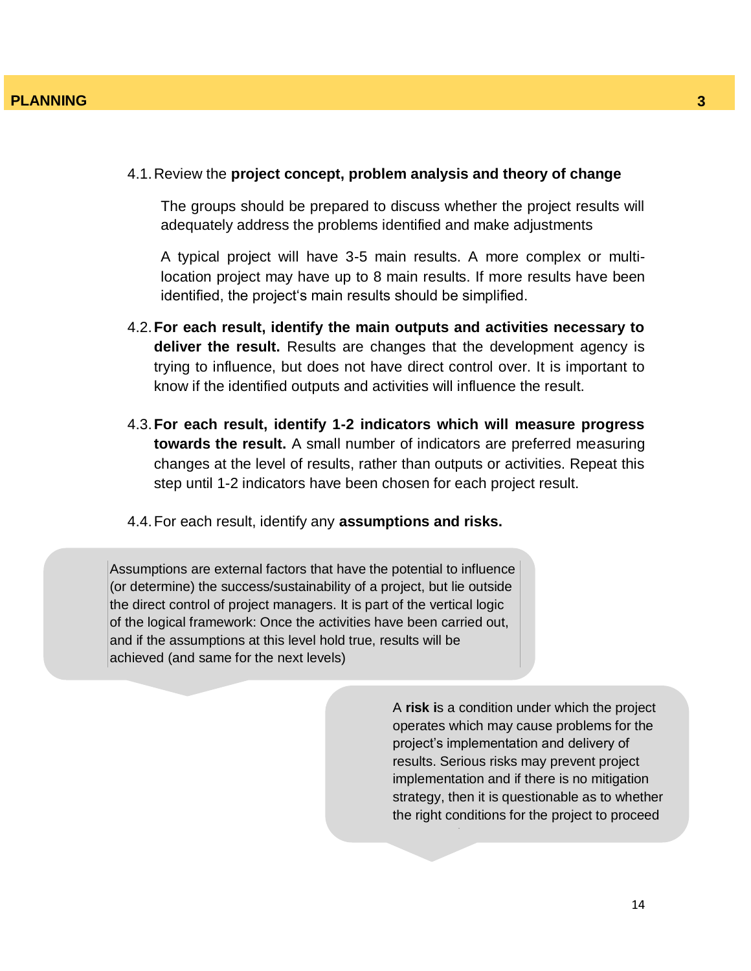#### 4.1.Review the **project concept, problem analysis and theory of change**

The groups should be prepared to discuss whether the project results will adequately address the problems identified and make adjustments

A typical project will have 3-5 main results. A more complex or multilocation project may have up to 8 main results. If more results have been identified, the project's main results should be simplified.

- 4.2.**For each result, identify the main outputs and activities necessary to deliver the result.** Results are changes that the development agency is trying to influence, but does not have direct control over. It is important to know if the identified outputs and activities will influence the result.
- 4.3.**For each result, identify 1-2 indicators which will measure progress towards the result.** A small number of indicators are preferred measuring changes at the level of results, rather than outputs or activities. Repeat this step until 1-2 indicators have been chosen for each project result.
- 4.4.For each result, identify any **assumptions and risks.**

Assumptions are external factors that have the potential to influence (or determine) the success/sustainability of a project, but lie outside the direct control of project managers. It is part of the vertical logic of the logical framework: Once the activities have been carried out, and if the assumptions at this level hold true, results will be achieved (and same for the next levels)

> A **risk i**s a condition under which the project operates which may cause problems for the project"s implementation and delivery of results. Serious risks may prevent project implementation and if there is no mitigation strategy, then it is questionable as to whether the right conditions for the project to proceed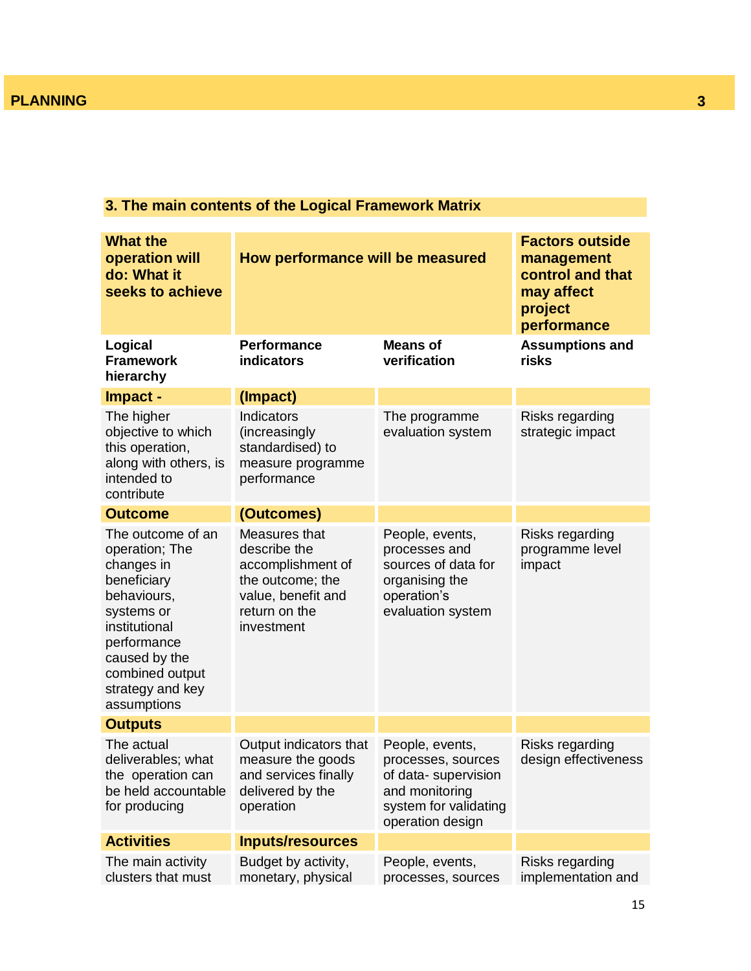# **3. The main contents of the Logical Framework Matrix**

| <b>What the</b><br>operation will<br>do: What it<br>seeks to achieve                                                                                                                                 | How performance will be measured                                                                                            |                                                                                                                             | <b>Factors outside</b><br>management<br>control and that<br>may affect<br>project<br>performance |
|------------------------------------------------------------------------------------------------------------------------------------------------------------------------------------------------------|-----------------------------------------------------------------------------------------------------------------------------|-----------------------------------------------------------------------------------------------------------------------------|--------------------------------------------------------------------------------------------------|
| Logical<br><b>Framework</b><br>hierarchy                                                                                                                                                             | <b>Performance</b><br>indicators                                                                                            | <b>Means of</b><br>verification                                                                                             | <b>Assumptions and</b><br>risks                                                                  |
| Impact -                                                                                                                                                                                             | (Impact)                                                                                                                    |                                                                                                                             |                                                                                                  |
| The higher<br>objective to which<br>this operation,<br>along with others, is<br>intended to<br>contribute                                                                                            | Indicators<br>(increasingly<br>standardised) to<br>measure programme<br>performance                                         | The programme<br>evaluation system                                                                                          | Risks regarding<br>strategic impact                                                              |
| <b>Outcome</b>                                                                                                                                                                                       | (Outcomes)                                                                                                                  |                                                                                                                             |                                                                                                  |
| The outcome of an<br>operation; The<br>changes in<br>beneficiary<br>behaviours,<br>systems or<br>institutional<br>performance<br>caused by the<br>combined output<br>strategy and key<br>assumptions | Measures that<br>describe the<br>accomplishment of<br>the outcome; the<br>value, benefit and<br>return on the<br>investment | People, events,<br>processes and<br>sources of data for<br>organising the<br>operation's<br>evaluation system               | Risks regarding<br>programme level<br>impact                                                     |
| <b>Outputs</b>                                                                                                                                                                                       |                                                                                                                             |                                                                                                                             |                                                                                                  |
| The actual<br>deliverables; what<br>the operation can<br>be held accountable<br>for producing                                                                                                        | Output indicators that<br>measure the goods<br>and services finally<br>delivered by the<br>operation                        | People, events,<br>processes, sources<br>of data-supervision<br>and monitoring<br>system for validating<br>operation design | Risks regarding<br>design effectiveness                                                          |
| <b>Activities</b>                                                                                                                                                                                    | <b>Inputs/resources</b>                                                                                                     |                                                                                                                             |                                                                                                  |
| The main activity<br>clusters that must                                                                                                                                                              | Budget by activity,<br>monetary, physical                                                                                   | People, events,<br>processes, sources                                                                                       | Risks regarding<br>implementation and                                                            |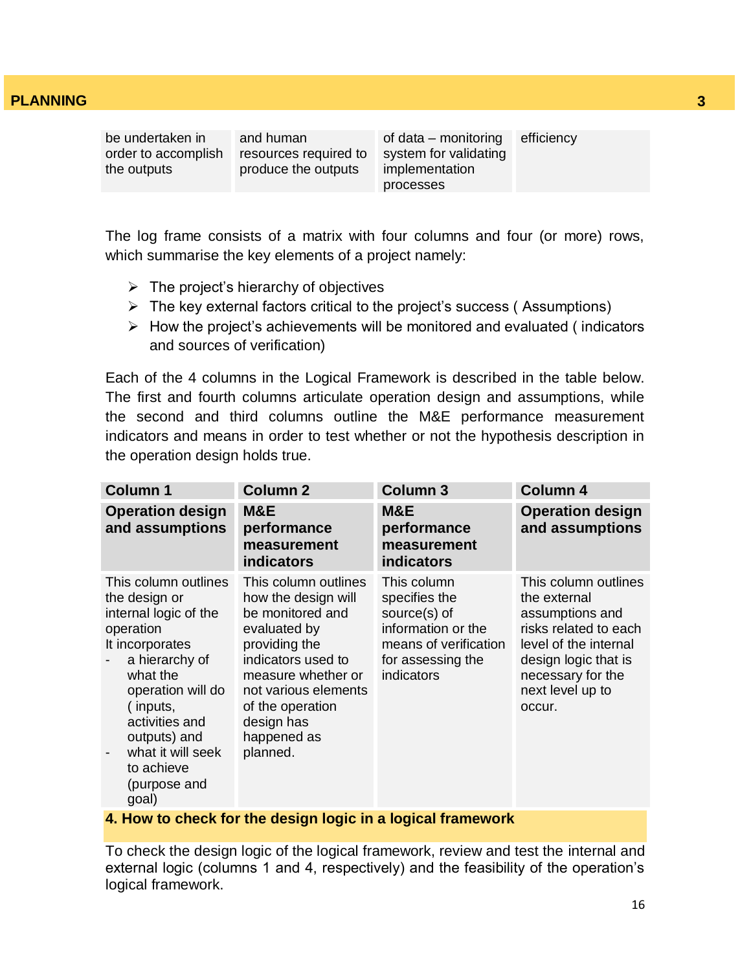be undertaken in order to accomplish the outputs

and human resources required to produce the outputs

of data – monitoring system for validating implementation processes efficiency

The log frame consists of a matrix with four columns and four (or more) rows, which summarise the key elements of a project namely:

- $\triangleright$  The project's hierarchy of objectives
- $\triangleright$  The key external factors critical to the project's success (Assumptions)
- $\triangleright$  How the project's achievements will be monitored and evaluated (indicators and sources of verification)

Each of the 4 columns in the Logical Framework is described in the table below. The first and fourth columns articulate operation design and assumptions, while the second and third columns outline the M&E performance measurement indicators and means in order to test whether or not the hypothesis description in the operation design holds true.

| <b>Column 1</b>                                                                                                                                                                                                                                             | <b>Column 2</b>                                                                                                                                                                                                                   | <b>Column 3</b>                                                                                                                | <b>Column 4</b>                                                                                                                                                                      |
|-------------------------------------------------------------------------------------------------------------------------------------------------------------------------------------------------------------------------------------------------------------|-----------------------------------------------------------------------------------------------------------------------------------------------------------------------------------------------------------------------------------|--------------------------------------------------------------------------------------------------------------------------------|--------------------------------------------------------------------------------------------------------------------------------------------------------------------------------------|
| <b>Operation design</b><br>and assumptions                                                                                                                                                                                                                  | M&E<br>performance<br>measurement<br><b>indicators</b>                                                                                                                                                                            | M&E<br>performance<br>measurement<br><b>indicators</b>                                                                         | <b>Operation design</b><br>and assumptions                                                                                                                                           |
| This column outlines<br>the design or<br>internal logic of the<br>operation<br>It incorporates<br>a hierarchy of<br>what the<br>operation will do<br>(inputs,<br>activities and<br>outputs) and<br>what it will seek<br>to achieve<br>(purpose and<br>goal) | This column outlines<br>how the design will<br>be monitored and<br>evaluated by<br>providing the<br>indicators used to<br>measure whether or<br>not various elements<br>of the operation<br>design has<br>happened as<br>planned. | This column<br>specifies the<br>source(s) of<br>information or the<br>means of verification<br>for assessing the<br>indicators | This column outlines<br>the external<br>assumptions and<br>risks related to each<br>level of the internal<br>design logic that is<br>necessary for the<br>next level up to<br>occur. |

#### **4. How to check for the design logic in a logical framework**

To check the design logic of the logical framework, review and test the internal and external logic (columns 1 and 4, respectively) and the feasibility of the operation's logical framework.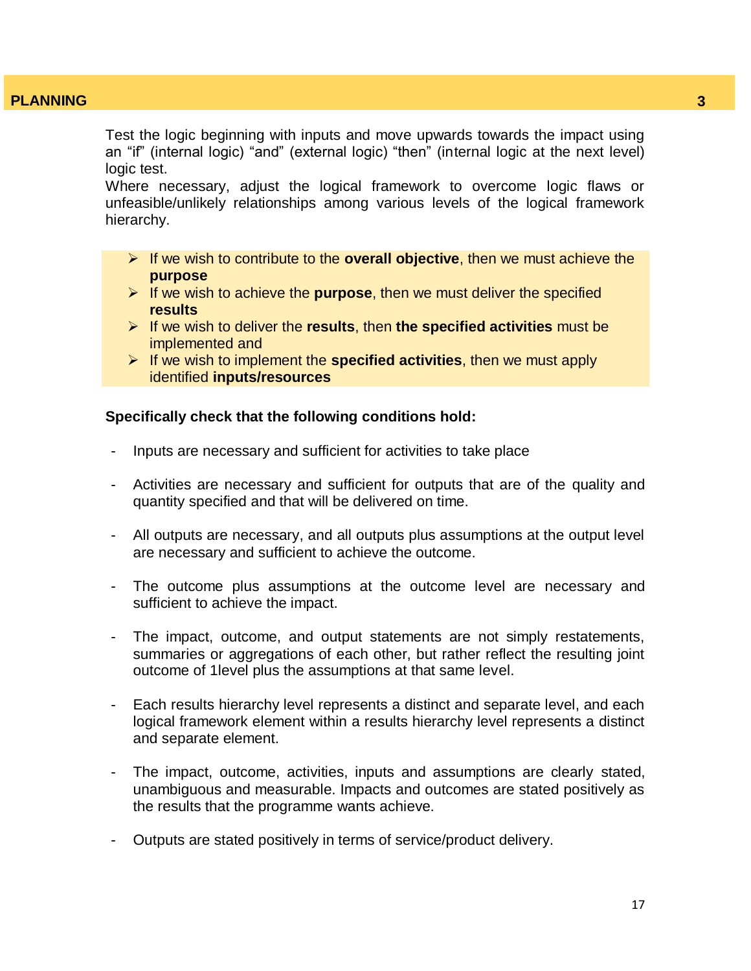Test the logic beginning with inputs and move upwards towards the impact using an "if" (internal logic) "and" (external logic) "then" (internal logic at the next level) logic test.

Where necessary, adjust the logical framework to overcome logic flaws or unfeasible/unlikely relationships among various levels of the logical framework hierarchy.

- If we wish to contribute to the **overall objective**, then we must achieve the **purpose**
- $\triangleright$  If we wish to achieve the **purpose**, then we must deliver the specified **results**
- If we wish to deliver the **results**, then **the specified activities** must be implemented and
- If we wish to implement the **specified activities**, then we must apply identified **inputs/resources**

#### **Specifically check that the following conditions hold:**

- Inputs are necessary and sufficient for activities to take place
- Activities are necessary and sufficient for outputs that are of the quality and quantity specified and that will be delivered on time.
- All outputs are necessary, and all outputs plus assumptions at the output level are necessary and sufficient to achieve the outcome.
- The outcome plus assumptions at the outcome level are necessary and sufficient to achieve the impact.
- The impact, outcome, and output statements are not simply restatements, summaries or aggregations of each other, but rather reflect the resulting joint outcome of 1level plus the assumptions at that same level.
- Each results hierarchy level represents a distinct and separate level, and each logical framework element within a results hierarchy level represents a distinct and separate element.
- The impact, outcome, activities, inputs and assumptions are clearly stated, unambiguous and measurable. Impacts and outcomes are stated positively as the results that the programme wants achieve.
- Outputs are stated positively in terms of service/product delivery.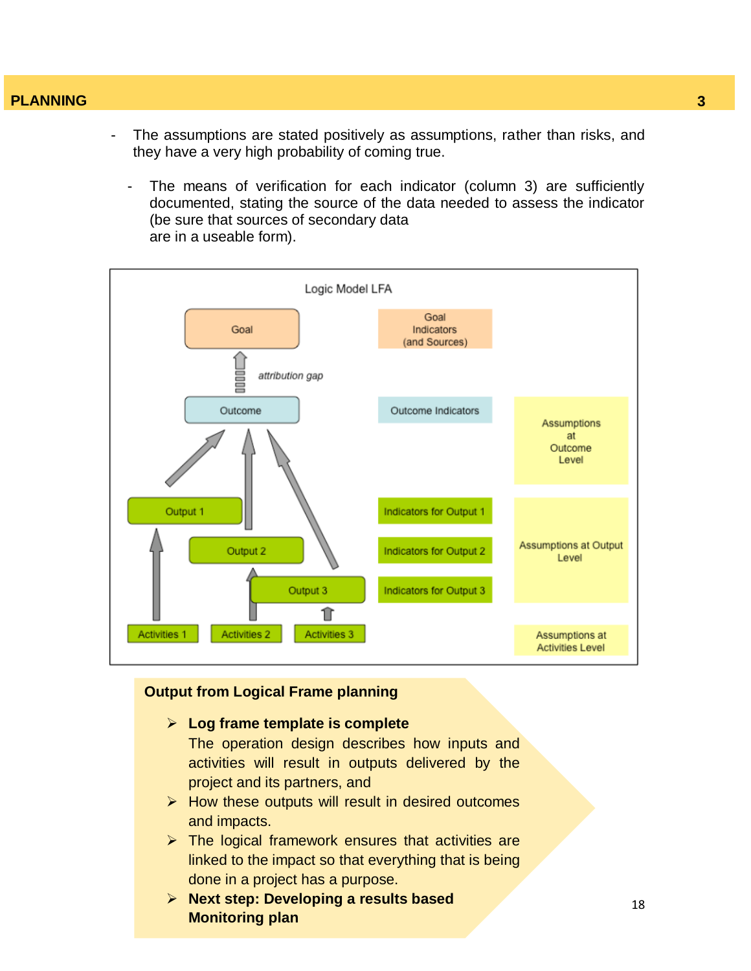- The assumptions are stated positively as assumptions, rather than risks, and they have a very high probability of coming true.
	- The means of verification for each indicator (column 3) are sufficiently documented, stating the source of the data needed to assess the indicator (be sure that sources of secondary data are in a useable form).



### **Output from Logical Frame planning**

**Log frame template is complete**

The operation design describes how inputs and activities will result in outputs delivered by the project and its partners, and

- $\triangleright$  How these outputs will result in desired outcomes and impacts.
- $\triangleright$  The logical framework ensures that activities are linked to the impact so that everything that is being done in a project has a purpose.
- **Next step: Developing a results based Monitoring plan**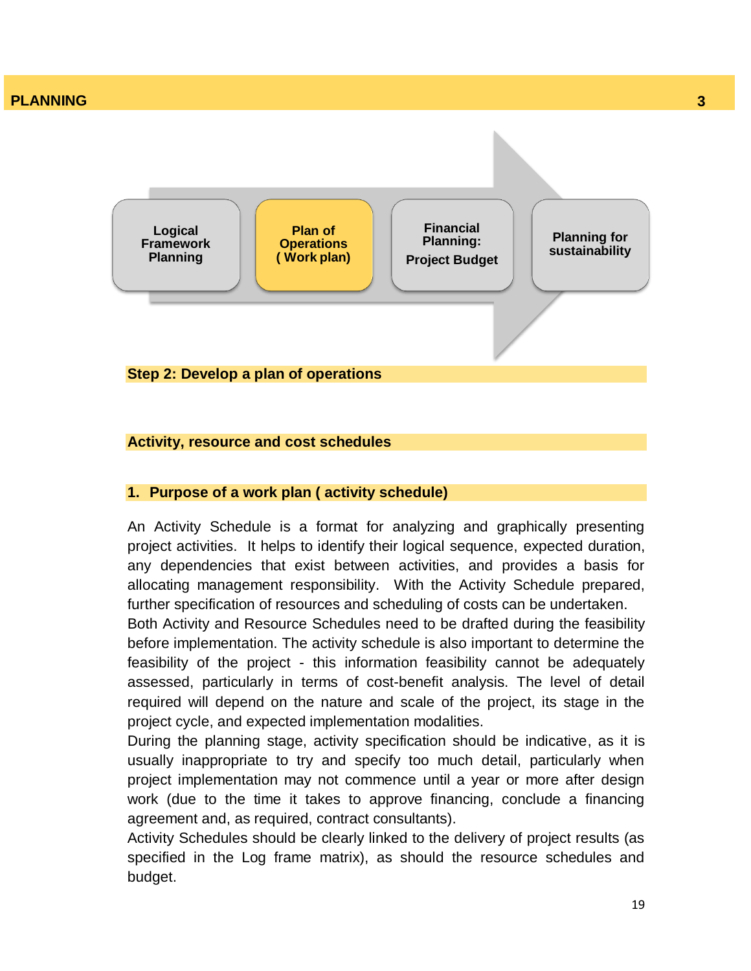

#### **Activity, resource and cost schedules**

#### **1. Purpose of a work plan ( activity schedule)**

An Activity Schedule is a format for analyzing and graphically presenting project activities. It helps to identify their logical sequence, expected duration, any dependencies that exist between activities, and provides a basis for allocating management responsibility. With the Activity Schedule prepared, further specification of resources and scheduling of costs can be undertaken.

Both Activity and Resource Schedules need to be drafted during the feasibility before implementation. The activity schedule is also important to determine the feasibility of the project - this information feasibility cannot be adequately assessed, particularly in terms of cost-benefit analysis. The level of detail required will depend on the nature and scale of the project, its stage in the project cycle, and expected implementation modalities.

During the planning stage, activity specification should be indicative, as it is usually inappropriate to try and specify too much detail, particularly when project implementation may not commence until a year or more after design work (due to the time it takes to approve financing, conclude a financing agreement and, as required, contract consultants).

Activity Schedules should be clearly linked to the delivery of project results (as specified in the Log frame matrix), as should the resource schedules and budget.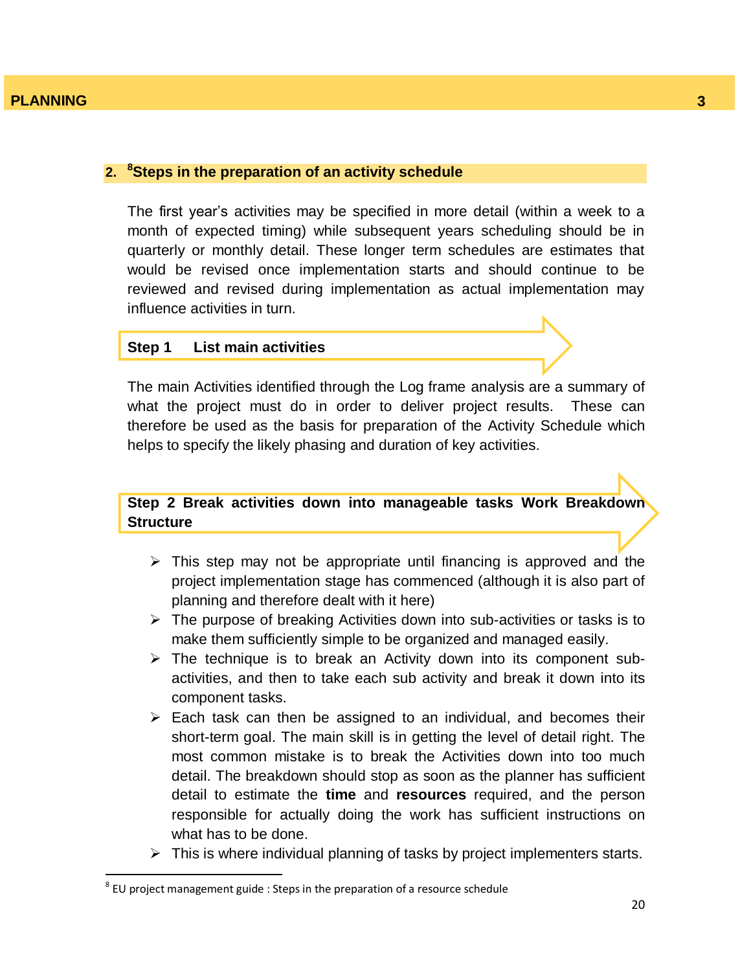#### **2. <sup>8</sup>Steps in the preparation of an activity schedule**

The first year"s activities may be specified in more detail (within a week to a month of expected timing) while subsequent years scheduling should be in quarterly or monthly detail. These longer term schedules are estimates that would be revised once implementation starts and should continue to be reviewed and revised during implementation as actual implementation may influence activities in turn.

#### **Step 1 List main activities**

The main Activities identified through the Log frame analysis are a summary of what the project must do in order to deliver project results. These can therefore be used as the basis for preparation of the Activity Schedule which helps to specify the likely phasing and duration of key activities.

# **Step 2 Break activities down into manageable tasks Work Breakdown Structure**

- $\triangleright$  This step may not be appropriate until financing is approved and the project implementation stage has commenced (although it is also part of planning and therefore dealt with it here)
- $\triangleright$  The purpose of breaking Activities down into sub-activities or tasks is to make them sufficiently simple to be organized and managed easily.
- $\triangleright$  The technique is to break an Activity down into its component subactivities, and then to take each sub activity and break it down into its component tasks.
- $\triangleright$  Each task can then be assigned to an individual, and becomes their short-term goal. The main skill is in getting the level of detail right. The most common mistake is to break the Activities down into too much detail. The breakdown should stop as soon as the planner has sufficient detail to estimate the **time** and **resources** required, and the person responsible for actually doing the work has sufficient instructions on what has to be done.
- $\triangleright$  This is where individual planning of tasks by project implementers starts.

 $\overline{a}$ 

 $^8$  EU project management guide : Steps in the preparation of a resource schedule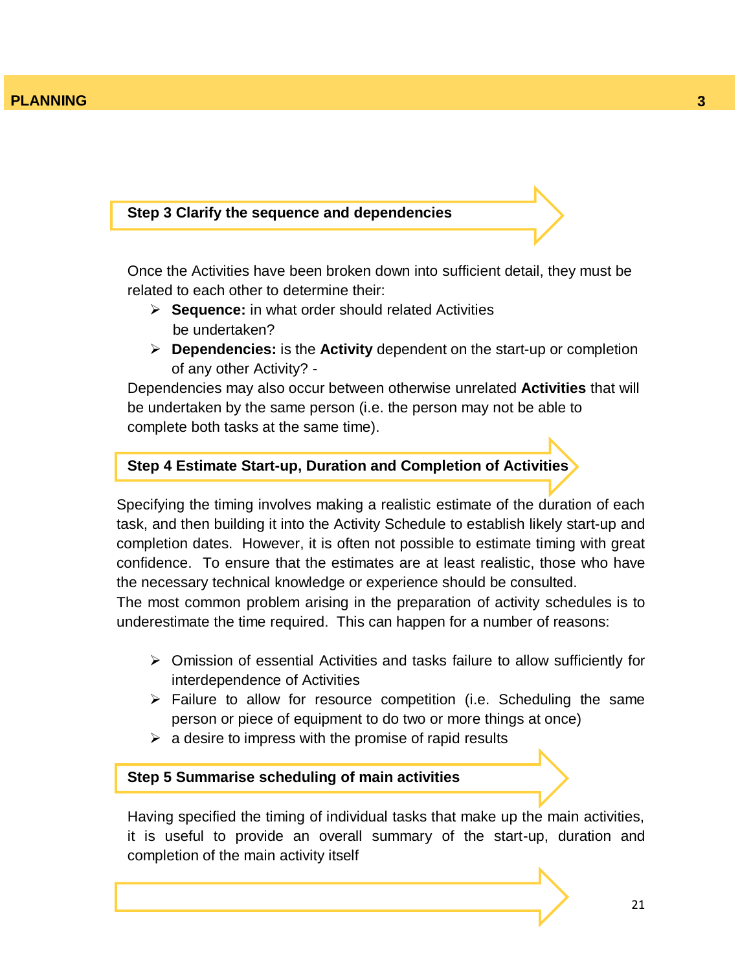#### **Step 3 Clarify the sequence and dependencies**

Once the Activities have been broken down into sufficient detail, they must be related to each other to determine their:

- **Sequence:** in what order should related Activities be undertaken?
- **Dependencies:** is the **Activity** dependent on the start-up or completion of any other Activity? -

Dependencies may also occur between otherwise unrelated **Activities** that will be undertaken by the same person (i.e. the person may not be able to complete both tasks at the same time).

### **Step 4 Estimate Start-up, Duration and Completion of Activities**

Specifying the timing involves making a realistic estimate of the duration of each task, and then building it into the Activity Schedule to establish likely start-up and completion dates. However, it is often not possible to estimate timing with great confidence. To ensure that the estimates are at least realistic, those who have the necessary technical knowledge or experience should be consulted.

The most common problem arising in the preparation of activity schedules is to underestimate the time required. This can happen for a number of reasons:

- Omission of essential Activities and tasks failure to allow sufficiently for interdependence of Activities
- $\triangleright$  Failure to allow for resource competition (i.e. Scheduling the same person or piece of equipment to do two or more things at once)
- $\triangleright$  a desire to impress with the promise of rapid results

#### **Step 5 Summarise scheduling of main activities**

Having specified the timing of individual tasks that make up the main activities, it is useful to provide an overall summary of the start-up, duration and completion of the main activity itself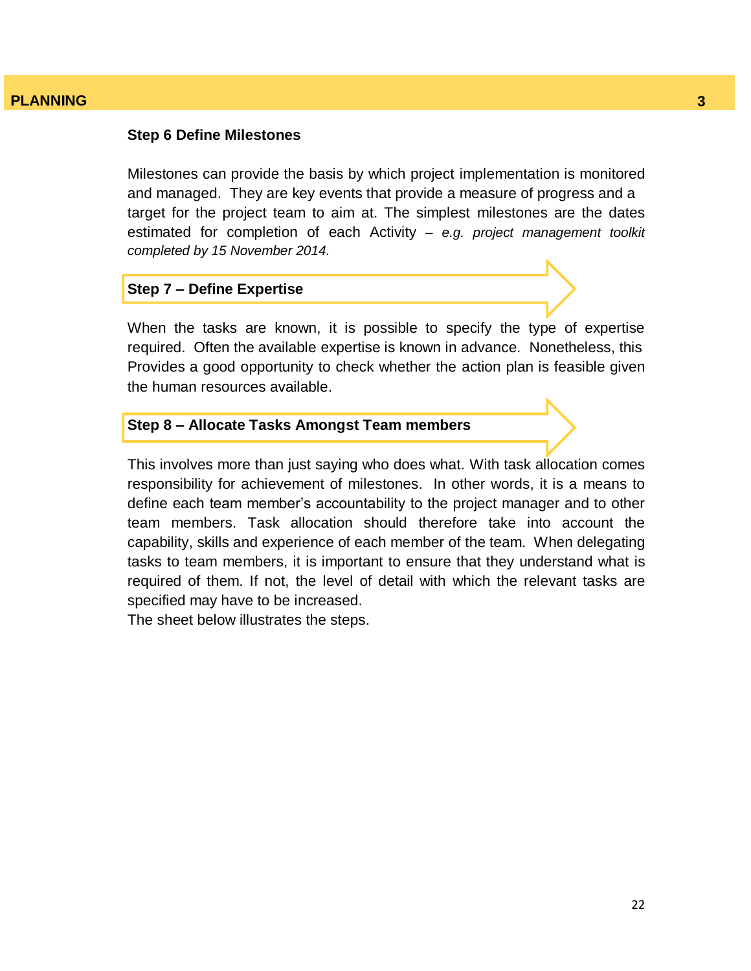#### **Step 6 Define Milestones**

Milestones can provide the basis by which project implementation is monitored and managed. They are key events that provide a measure of progress and a target for the project team to aim at. The simplest milestones are the dates estimated for completion of each Activity *– e.g. project management toolkit completed by 15 November 2014.*

#### **Step 7 – Define Expertise**

When the tasks are known, it is possible to specify the type of expertise required. Often the available expertise is known in advance. Nonetheless, this Provides a good opportunity to check whether the action plan is feasible given the human resources available.

### **Step 8 – Allocate Tasks Amongst Team members**

This involves more than just saying who does what. With task allocation comes responsibility for achievement of milestones. In other words, it is a means to define each team member"s accountability to the project manager and to other team members. Task allocation should therefore take into account the capability, skills and experience of each member of the team. When delegating tasks to team members, it is important to ensure that they understand what is required of them. If not, the level of detail with which the relevant tasks are specified may have to be increased.

The sheet below illustrates the steps.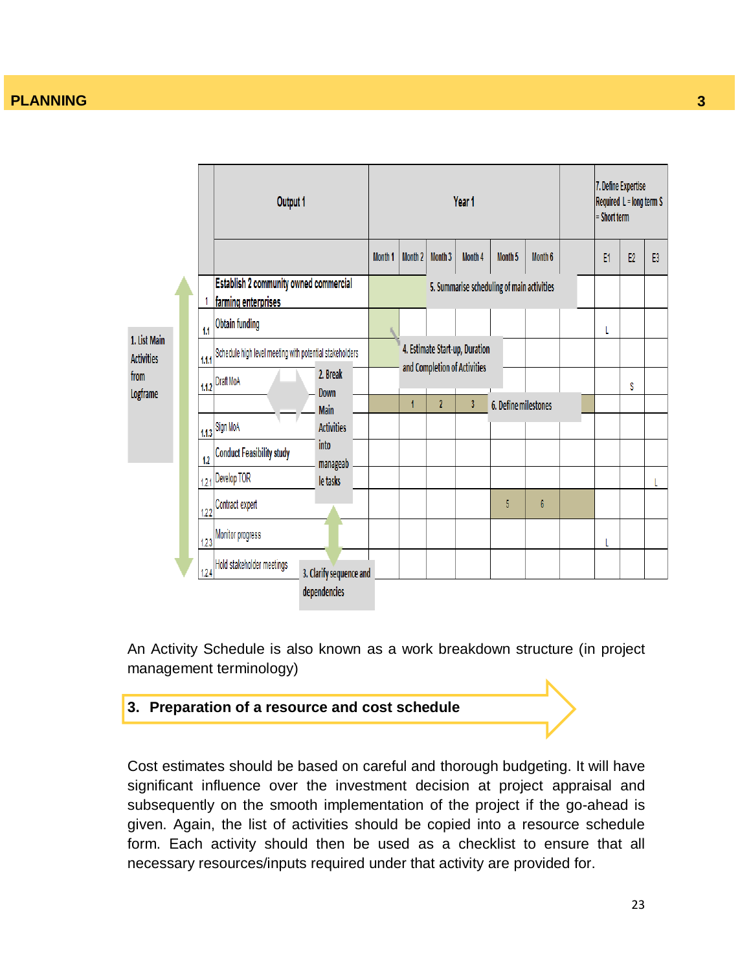

An Activity Schedule is also known as a work breakdown structure (in project management terminology)



Cost estimates should be based on careful and thorough budgeting. It will have significant influence over the investment decision at project appraisal and subsequently on the smooth implementation of the project if the go-ahead is given. Again, the list of activities should be copied into a resource schedule form. Each activity should then be used as a checklist to ensure that all necessary resources/inputs required under that activity are provided for.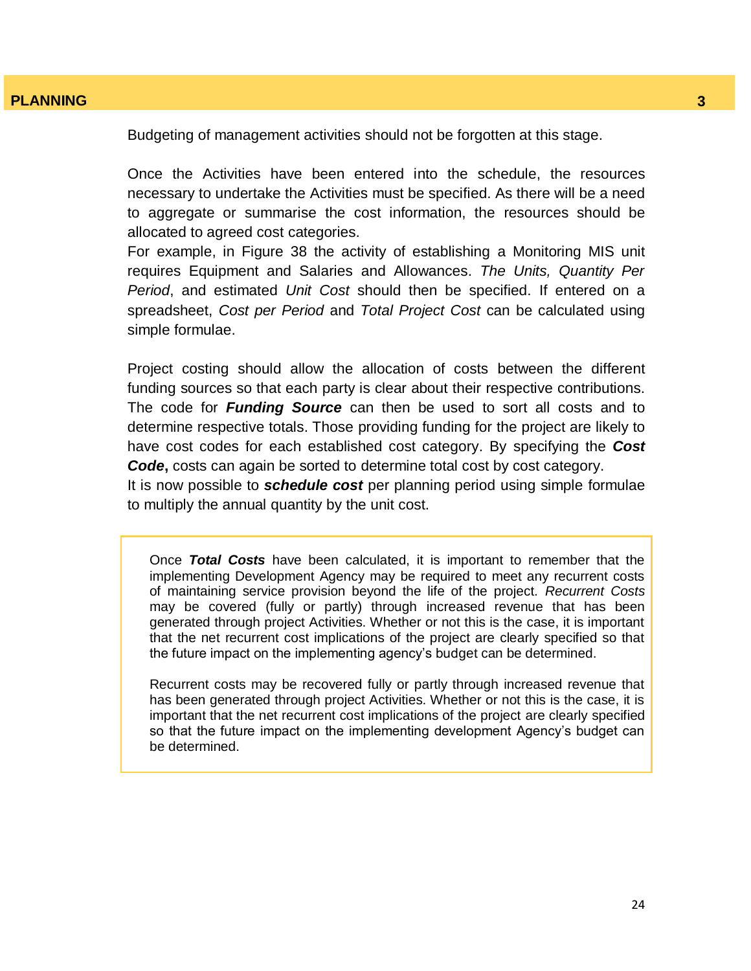Budgeting of management activities should not be forgotten at this stage.

Once the Activities have been entered into the schedule, the resources necessary to undertake the Activities must be specified. As there will be a need to aggregate or summarise the cost information, the resources should be allocated to agreed cost categories.

For example, in Figure 38 the activity of establishing a Monitoring MIS unit requires Equipment and Salaries and Allowances. *The Units, Quantity Per Period*, and estimated *Unit Cost* should then be specified. If entered on a spreadsheet, *Cost per Period* and *Total Project Cost* can be calculated using simple formulae.

Project costing should allow the allocation of costs between the different funding sources so that each party is clear about their respective contributions. The code for *Funding Source* can then be used to sort all costs and to determine respective totals. Those providing funding for the project are likely to have cost codes for each established cost category. By specifying the *Cost Code***,** costs can again be sorted to determine total cost by cost category.

It is now possible to *schedule cost* per planning period using simple formulae to multiply the annual quantity by the unit cost.

Once *Total Costs* have been calculated, it is important to remember that the implementing Development Agency may be required to meet any recurrent costs of maintaining service provision beyond the life of the project. *Recurrent Costs*  may be covered (fully or partly) through increased revenue that has been generated through project Activities. Whether or not this is the case, it is important that the net recurrent cost implications of the project are clearly specified so that the future impact on the implementing agency"s budget can be determined.

Recurrent costs may be recovered fully or partly through increased revenue that has been generated through project Activities. Whether or not this is the case, it is important that the net recurrent cost implications of the project are clearly specified so that the future impact on the implementing development Agency"s budget can be determined.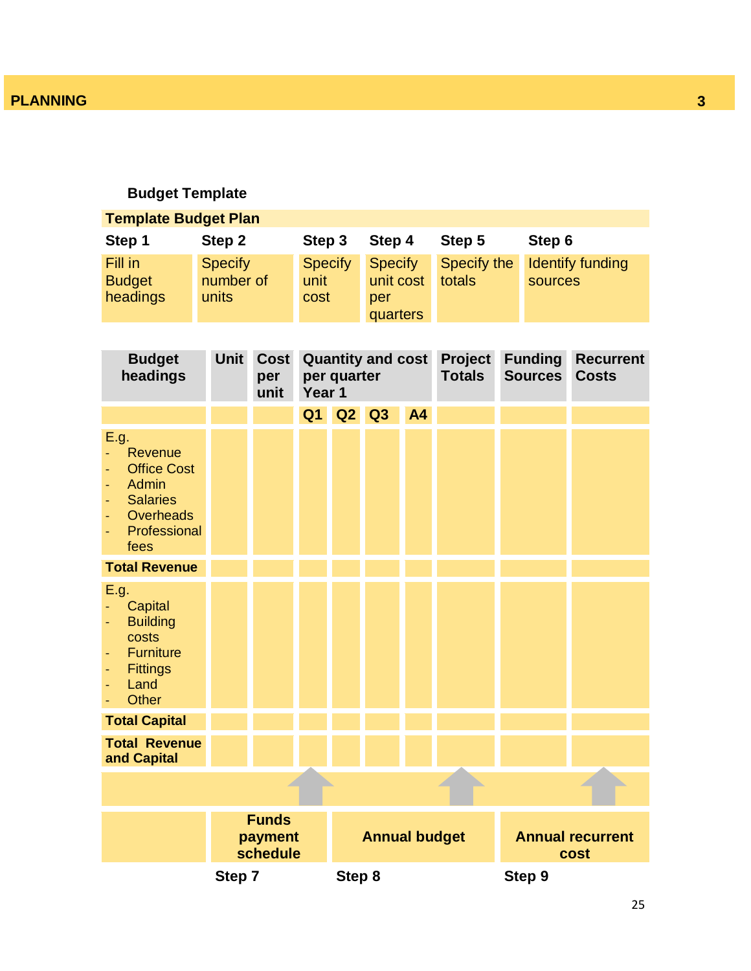# **Budget Template**

| <b>Template Budget Plan</b>                                                                                          |                                      |                                     |              |                |                                         |    |                                 |                                  |                                  |
|----------------------------------------------------------------------------------------------------------------------|--------------------------------------|-------------------------------------|--------------|----------------|-----------------------------------------|----|---------------------------------|----------------------------------|----------------------------------|
| Step 1                                                                                                               | Step 2                               |                                     | Step 3       |                | Step 4                                  |    | Step 5                          | Step 6                           |                                  |
| Fill in<br><b>Budget</b><br>headings                                                                                 | <b>Specify</b><br>number of<br>units |                                     | unit<br>cost | <b>Specify</b> | Specify<br>unit cost<br>per<br>quarters |    | Specify the<br>totals           | sources                          | <b>Identify funding</b>          |
| <b>Budget</b><br>headings                                                                                            | <b>Unit</b>                          | <b>Cost</b><br>per<br>unit          | Year 1       | per quarter    | <b>Quantity and cost</b>                |    | <b>Project</b><br><b>Totals</b> | <b>Funding</b><br><b>Sources</b> | <b>Recurrent</b><br><b>Costs</b> |
|                                                                                                                      |                                      |                                     | Q1           | Q2             | Q3                                      | A4 |                                 |                                  |                                  |
| E.g.<br>Revenue<br><b>Office Cost</b><br><b>Admin</b><br><b>Salaries</b><br><b>Overheads</b><br>Professional<br>fees |                                      |                                     |              |                |                                         |    |                                 |                                  |                                  |
| <b>Total Revenue</b>                                                                                                 |                                      |                                     |              |                |                                         |    |                                 |                                  |                                  |
| E.g.<br>Capital<br><b>Building</b><br>costs<br><b>Furniture</b><br><b>Fittings</b><br>Land<br><b>Other</b>           |                                      |                                     |              |                |                                         |    |                                 |                                  |                                  |
| <b>Total Capital</b>                                                                                                 |                                      |                                     |              |                |                                         |    |                                 |                                  |                                  |
| <b>Total Revenue</b><br>and Capital                                                                                  |                                      |                                     |              |                |                                         |    |                                 |                                  |                                  |
|                                                                                                                      |                                      |                                     |              |                |                                         |    |                                 |                                  |                                  |
|                                                                                                                      |                                      | <b>Funds</b><br>payment<br>schedule |              |                | <b>Annual budget</b>                    |    |                                 |                                  | <b>Annual recurrent</b><br>cost  |
|                                                                                                                      | Step 7                               |                                     |              | Step 8         |                                         |    |                                 | Step 9                           |                                  |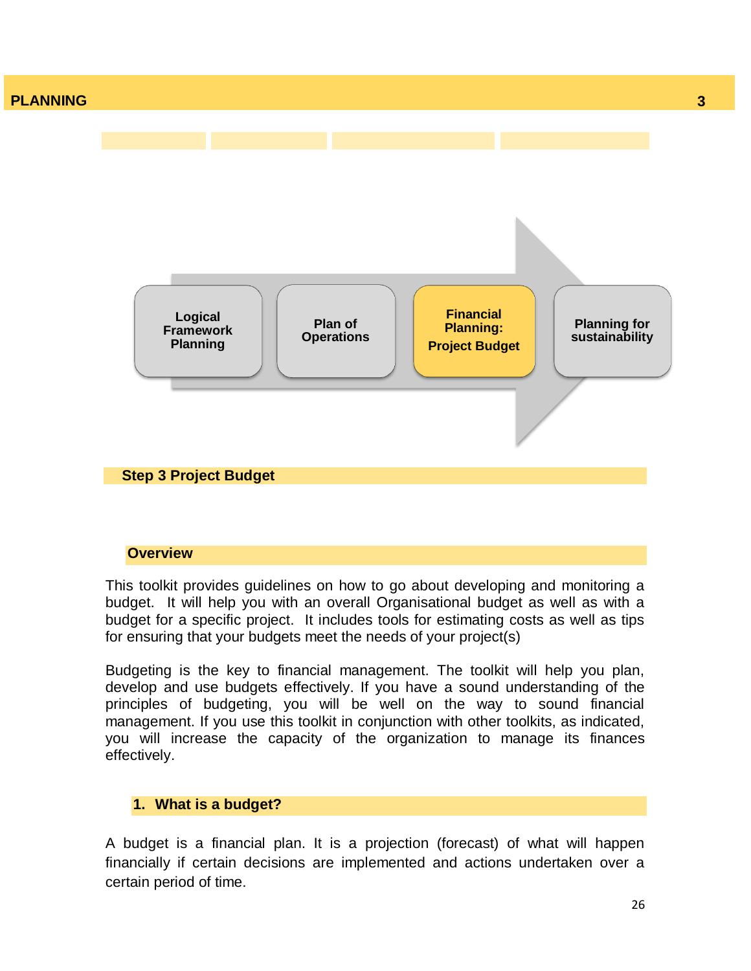

#### **Overview**

This toolkit provides guidelines on how to go about developing and monitoring a budget. It will help you with an overall Organisational budget as well as with a budget for a specific project. It includes tools for estimating costs as well as tips for ensuring that your budgets meet the needs of your project(s)

Budgeting is the key to financial management. The toolkit will help you plan, develop and use budgets effectively. If you have a sound understanding of the principles of budgeting, you will be well on the way to sound financial management. If you use this toolkit in conjunction with other toolkits, as indicated, you will increase the capacity of the organization to manage its finances effectively.

# **1. What is a budget?**

A budget is a financial plan. It is a projection (forecast) of what will happen financially if certain decisions are implemented and actions undertaken over a certain period of time.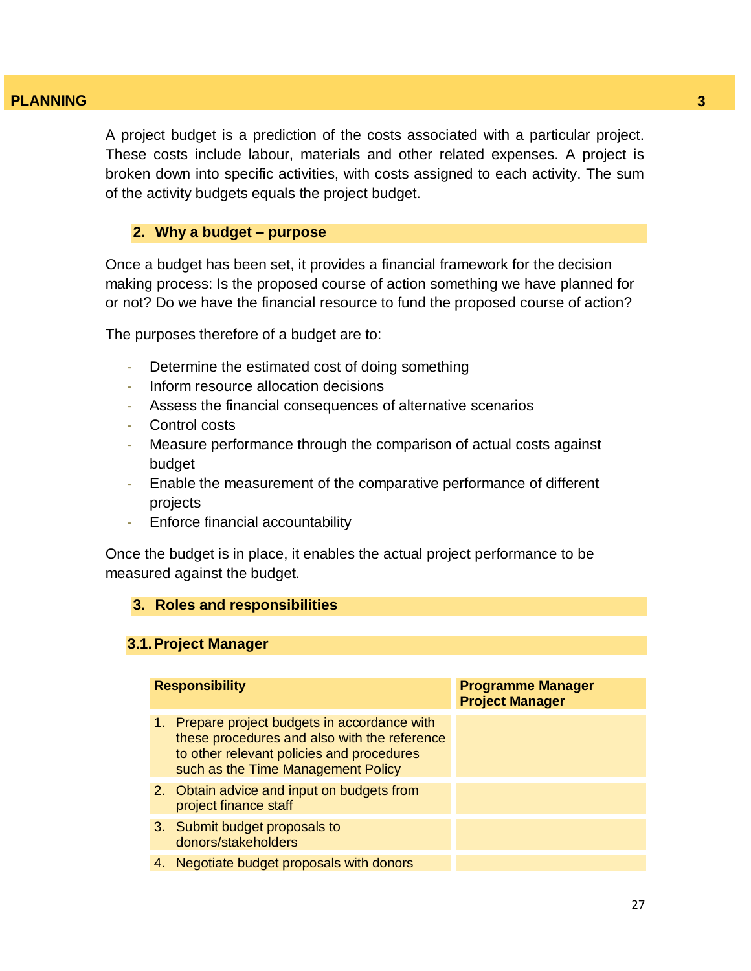A project budget is a prediction of the costs associated with a particular project. These costs include labour, materials and other related expenses. A project is broken down into specific activities, with costs assigned to each activity. The sum of the activity budgets equals the project budget.

#### **2. Why a budget – purpose**

Once a budget has been set, it provides a financial framework for the decision making process: Is the proposed course of action something we have planned for or not? Do we have the financial resource to fund the proposed course of action?

The purposes therefore of a budget are to:

- Determine the estimated cost of doing something
- Inform resource allocation decisions
- Assess the financial consequences of alternative scenarios
- Control costs
- Measure performance through the comparison of actual costs against budget
- Enable the measurement of the comparative performance of different projects
- Enforce financial accountability

Once the budget is in place, it enables the actual project performance to be measured against the budget.

#### **3. Roles and responsibilities**

#### **3.1.Project Manager**

| <b>Responsibility</b>                                                                                                                                                               | <b>Programme Manager</b><br><b>Project Manager</b> |
|-------------------------------------------------------------------------------------------------------------------------------------------------------------------------------------|----------------------------------------------------|
| Prepare project budgets in accordance with<br>1.<br>these procedures and also with the reference<br>to other relevant policies and procedures<br>such as the Time Management Policy |                                                    |
| 2. Obtain advice and input on budgets from<br>project finance staff                                                                                                                 |                                                    |
| 3. Submit budget proposals to<br>donors/stakeholders                                                                                                                                |                                                    |
| 4. Negotiate budget proposals with donors                                                                                                                                           |                                                    |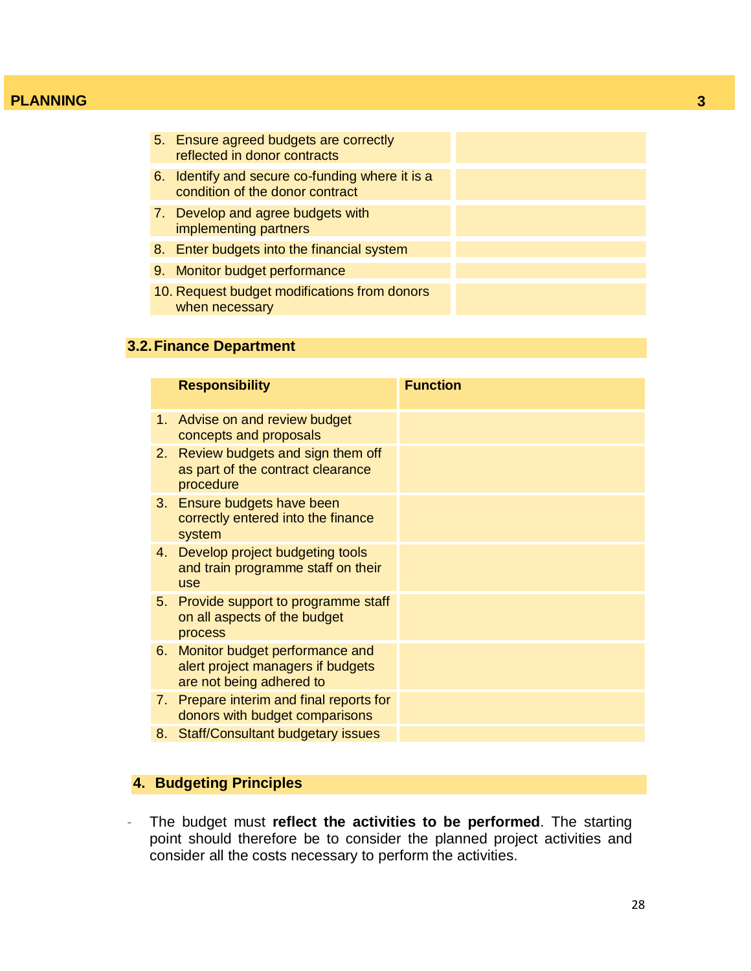| 5. Ensure agreed budgets are correctly<br>reflected in donor contracts             |  |
|------------------------------------------------------------------------------------|--|
| 6. Identify and secure co-funding where it is a<br>condition of the donor contract |  |
| 7. Develop and agree budgets with<br>implementing partners                         |  |
| 8. Enter budgets into the financial system                                         |  |
| 9. Monitor budget performance                                                      |  |
| 10. Request budget modifications from donors<br>when necessary                     |  |

# **3.2.Finance Department**

|    | <b>Responsibility</b>                                                                           | <b>Function</b> |
|----|-------------------------------------------------------------------------------------------------|-----------------|
|    | 1. Advise on and review budget<br>concepts and proposals                                        |                 |
| 2. | Review budgets and sign them off<br>as part of the contract clearance<br>procedure              |                 |
|    | 3. Ensure budgets have been<br>correctly entered into the finance<br>system                     |                 |
| 4. | Develop project budgeting tools<br>and train programme staff on their<br>use                    |                 |
| 5. | Provide support to programme staff<br>on all aspects of the budget<br>process                   |                 |
| 6. | Monitor budget performance and<br>alert project managers if budgets<br>are not being adhered to |                 |
| 7. | Prepare interim and final reports for<br>donors with budget comparisons                         |                 |
| 8. | <b>Staff/Consultant budgetary issues</b>                                                        |                 |

# **4. Budgeting Principles**

- The budget must **reflect the activities to be performed**. The starting point should therefore be to consider the planned project activities and consider all the costs necessary to perform the activities.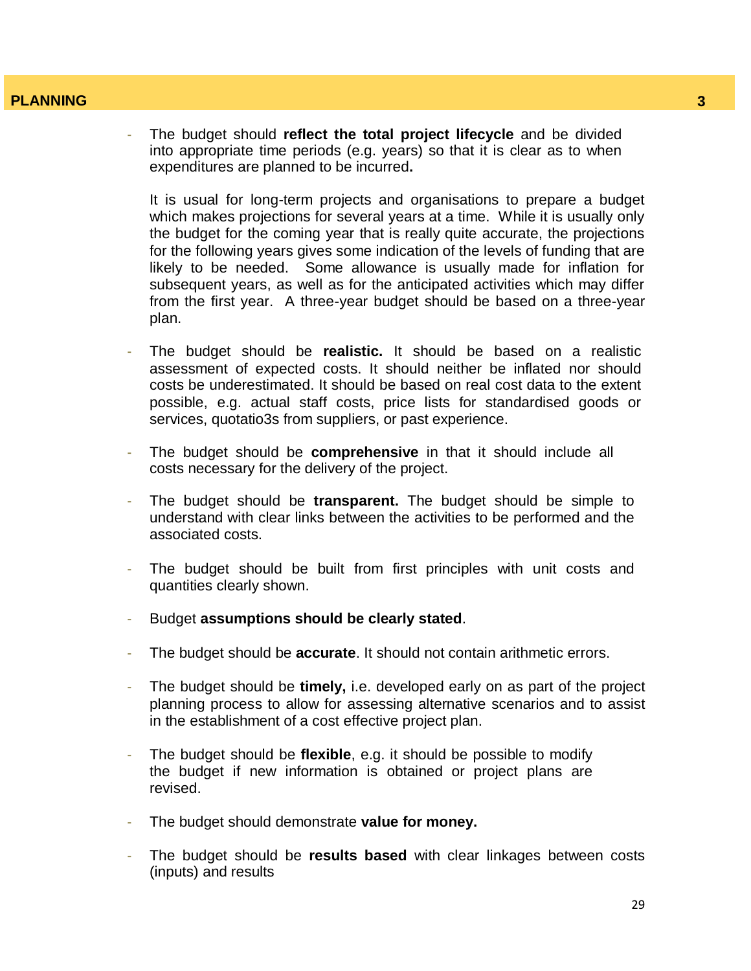- The budget should **reflect the total project lifecycle** and be divided into appropriate time periods (e.g. years) so that it is clear as to when expenditures are planned to be incurred**.** 

It is usual for long-term projects and organisations to prepare a budget which makes projections for several years at a time. While it is usually only the budget for the coming year that is really quite accurate, the projections for the following years gives some indication of the levels of funding that are likely to be needed. Some allowance is usually made for inflation for subsequent years, as well as for the anticipated activities which may differ from the first year. A three-year budget should be based on a three-year plan.

- The budget should be **realistic.** It should be based on a realistic assessment of expected costs. It should neither be inflated nor should costs be underestimated. It should be based on real cost data to the extent possible, e.g. actual staff costs, price lists for standardised goods or services, quotatio3s from suppliers, or past experience.
- The budget should be **comprehensive** in that it should include all costs necessary for the delivery of the project.
- The budget should be **transparent.** The budget should be simple to understand with clear links between the activities to be performed and the associated costs.
- The budget should be built from first principles with unit costs and quantities clearly shown.
- Budget **assumptions should be clearly stated**.
- The budget should be **accurate**. It should not contain arithmetic errors.
- The budget should be **timely,** i.e. developed early on as part of the project planning process to allow for assessing alternative scenarios and to assist in the establishment of a cost effective project plan.
- The budget should be **flexible**, e.g. it should be possible to modify the budget if new information is obtained or project plans are revised.
- The budget should demonstrate **value for money.**
- The budget should be **results based** with clear linkages between costs (inputs) and results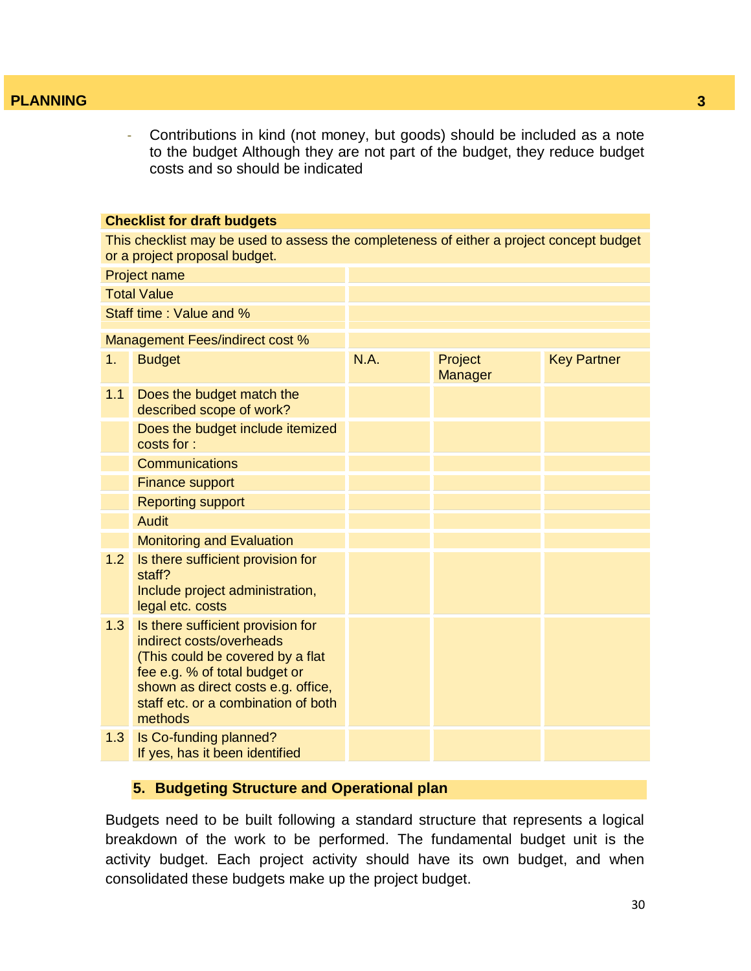- Contributions in kind (not money, but goods) should be included as a note to the budget Although they are not part of the budget, they reduce budget costs and so should be indicated

#### **Checklist for draft budgets**

This checklist may be used to assess the completeness of either a project concept budget or a project proposal budget.

|                    | <b>Project name</b>                                                                                                                                                                                                        |      |                    |                    |
|--------------------|----------------------------------------------------------------------------------------------------------------------------------------------------------------------------------------------------------------------------|------|--------------------|--------------------|
| <b>Total Value</b> |                                                                                                                                                                                                                            |      |                    |                    |
|                    | Staff time: Value and %                                                                                                                                                                                                    |      |                    |                    |
|                    | Management Fees/indirect cost %                                                                                                                                                                                            |      |                    |                    |
| 1.                 | <b>Budget</b>                                                                                                                                                                                                              | N.A. | Project<br>Manager | <b>Key Partner</b> |
| 1.1                | Does the budget match the<br>described scope of work?                                                                                                                                                                      |      |                    |                    |
|                    | Does the budget include itemized<br>costs for:                                                                                                                                                                             |      |                    |                    |
|                    | <b>Communications</b>                                                                                                                                                                                                      |      |                    |                    |
|                    | <b>Finance support</b>                                                                                                                                                                                                     |      |                    |                    |
|                    | <b>Reporting support</b>                                                                                                                                                                                                   |      |                    |                    |
|                    | <b>Audit</b>                                                                                                                                                                                                               |      |                    |                    |
|                    | <b>Monitoring and Evaluation</b>                                                                                                                                                                                           |      |                    |                    |
| 1.2                | Is there sufficient provision for<br>staff?<br>Include project administration,<br>legal etc. costs                                                                                                                         |      |                    |                    |
| 1.3                | Is there sufficient provision for<br>indirect costs/overheads<br>(This could be covered by a flat<br>fee e.g. % of total budget or<br>shown as direct costs e.g. office,<br>staff etc. or a combination of both<br>methods |      |                    |                    |
| 1.3                | Is Co-funding planned?<br>If yes, has it been identified                                                                                                                                                                   |      |                    |                    |

#### **5. Budgeting Structure and Operational plan**

Budgets need to be built following a standard structure that represents a logical breakdown of the work to be performed. The fundamental budget unit is the activity budget. Each project activity should have its own budget, and when consolidated these budgets make up the project budget.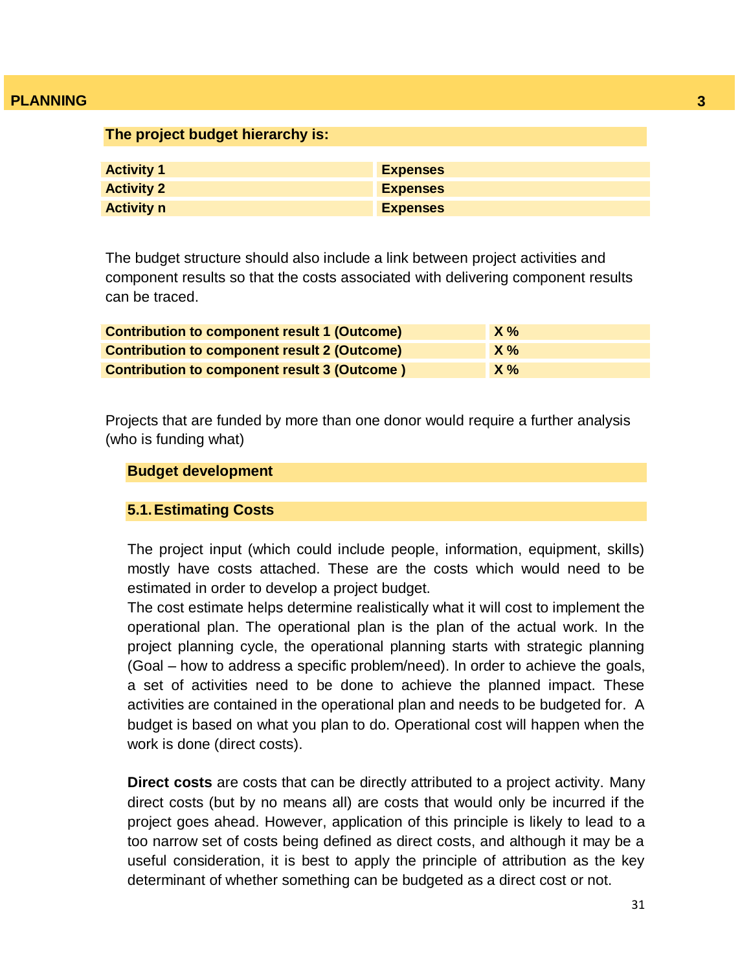| The project budget hierarchy is: |                 |
|----------------------------------|-----------------|
|                                  |                 |
| <b>Activity 1</b>                | <b>Expenses</b> |
| <b>Activity 2</b>                | <b>Expenses</b> |
| <b>Activity n</b>                | <b>Expenses</b> |

The budget structure should also include a link between project activities and component results so that the costs associated with delivering component results can be traced.

| <b>Contribution to component result 1 (Outcome)</b> | $X\%$ |
|-----------------------------------------------------|-------|
| <b>Contribution to component result 2 (Outcome)</b> | $X\%$ |
| <b>Contribution to component result 3 (Outcome)</b> | $X\%$ |

Projects that are funded by more than one donor would require a further analysis (who is funding what)

#### **Budget development**

#### **5.1.Estimating Costs**

The project input (which could include people, information, equipment, skills) mostly have costs attached. These are the costs which would need to be estimated in order to develop a project budget.

The cost estimate helps determine realistically what it will cost to implement the operational plan. The operational plan is the plan of the actual work. In the project planning cycle, the operational planning starts with strategic planning (Goal – how to address a specific problem/need). In order to achieve the goals, a set of activities need to be done to achieve the planned impact. These activities are contained in the operational plan and needs to be budgeted for. A budget is based on what you plan to do. Operational cost will happen when the work is done (direct costs).

**Direct costs** are costs that can be directly attributed to a project activity. Many direct costs (but by no means all) are costs that would only be incurred if the project goes ahead. However, application of this principle is likely to lead to a too narrow set of costs being defined as direct costs, and although it may be a useful consideration, it is best to apply the principle of attribution as the key determinant of whether something can be budgeted as a direct cost or not.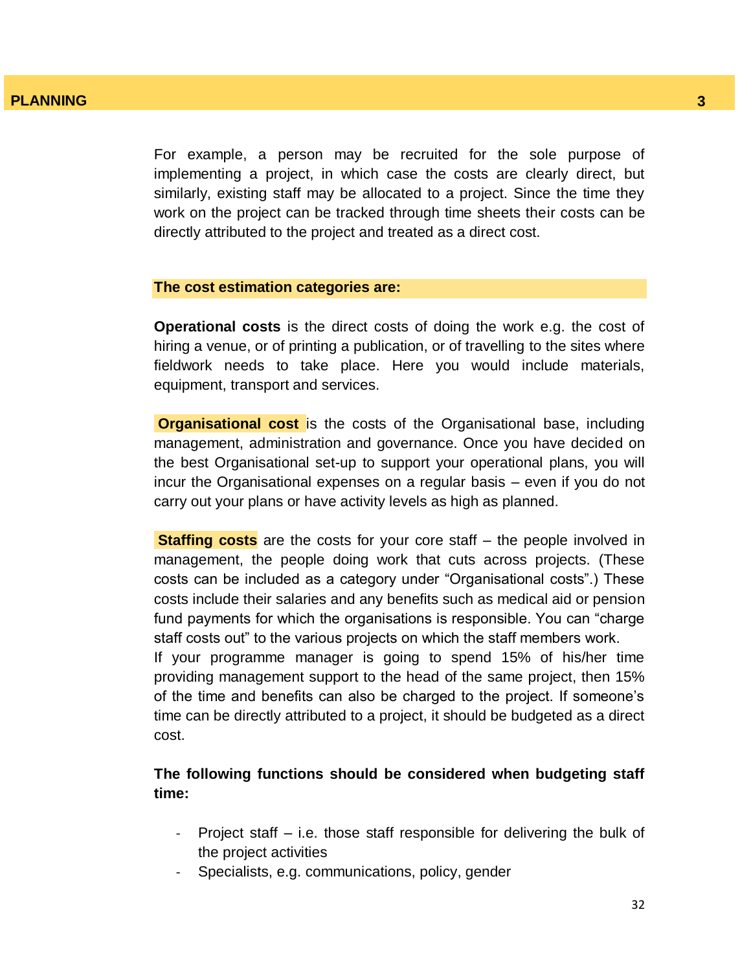For example, a person may be recruited for the sole purpose of implementing a project, in which case the costs are clearly direct, but similarly, existing staff may be allocated to a project. Since the time they work on the project can be tracked through time sheets their costs can be directly attributed to the project and treated as a direct cost.

#### **The cost estimation categories are:**

**Operational costs** is the direct costs of doing the work e.g. the cost of hiring a venue, or of printing a publication, or of travelling to the sites where fieldwork needs to take place. Here you would include materials, equipment, transport and services.

**Organisational cost** is the costs of the Organisational base, including management, administration and governance. Once you have decided on the best Organisational set-up to support your operational plans, you will incur the Organisational expenses on a regular basis – even if you do not carry out your plans or have activity levels as high as planned.

**Staffing costs** are the costs for your core staff – the people involved in management, the people doing work that cuts across projects. (These costs can be included as a category under "Organisational costs".) These costs include their salaries and any benefits such as medical aid or pension fund payments for which the organisations is responsible. You can "charge staff costs out" to the various projects on which the staff members work.

If your programme manager is going to spend 15% of his/her time providing management support to the head of the same project, then 15% of the time and benefits can also be charged to the project. If someone"s time can be directly attributed to a project, it should be budgeted as a direct cost.

# **The following functions should be considered when budgeting staff time:**

- Project staff  $-$  i.e. those staff responsible for delivering the bulk of the project activities
- Specialists, e.g. communications, policy, gender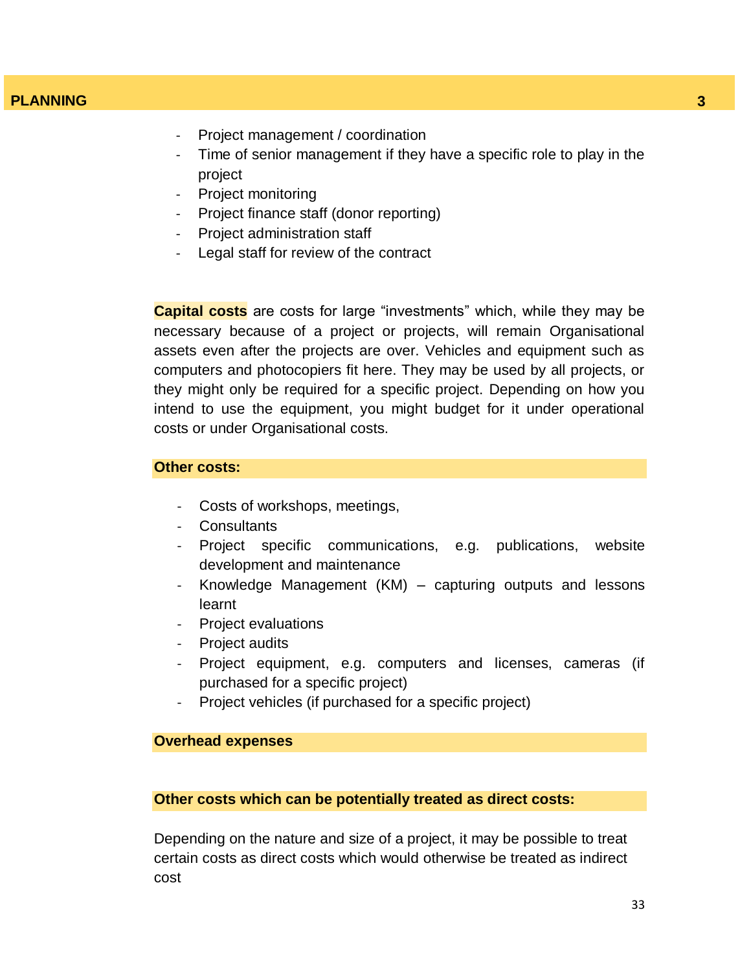- Project management / coordination
- Time of senior management if they have a specific role to play in the project
- Project monitoring
- Project finance staff (donor reporting)
- Project administration staff
- Legal staff for review of the contract

**Capital costs** are costs for large "investments" which, while they may be necessary because of a project or projects, will remain Organisational assets even after the projects are over. Vehicles and equipment such as computers and photocopiers fit here. They may be used by all projects, or they might only be required for a specific project. Depending on how you intend to use the equipment, you might budget for it under operational costs or under Organisational costs.

#### **Other costs:**

- Costs of workshops, meetings,
- **Consultants**
- Project specific communications, e.g. publications, website development and maintenance
- Knowledge Management (KM) capturing outputs and lessons learnt
- Project evaluations
- Project audits
- Project equipment, e.g. computers and licenses, cameras (if purchased for a specific project)
- Project vehicles (if purchased for a specific project)

#### **Overhead expenses**

#### **Other costs which can be potentially treated as direct costs:**

Depending on the nature and size of a project, it may be possible to treat certain costs as direct costs which would otherwise be treated as indirect cost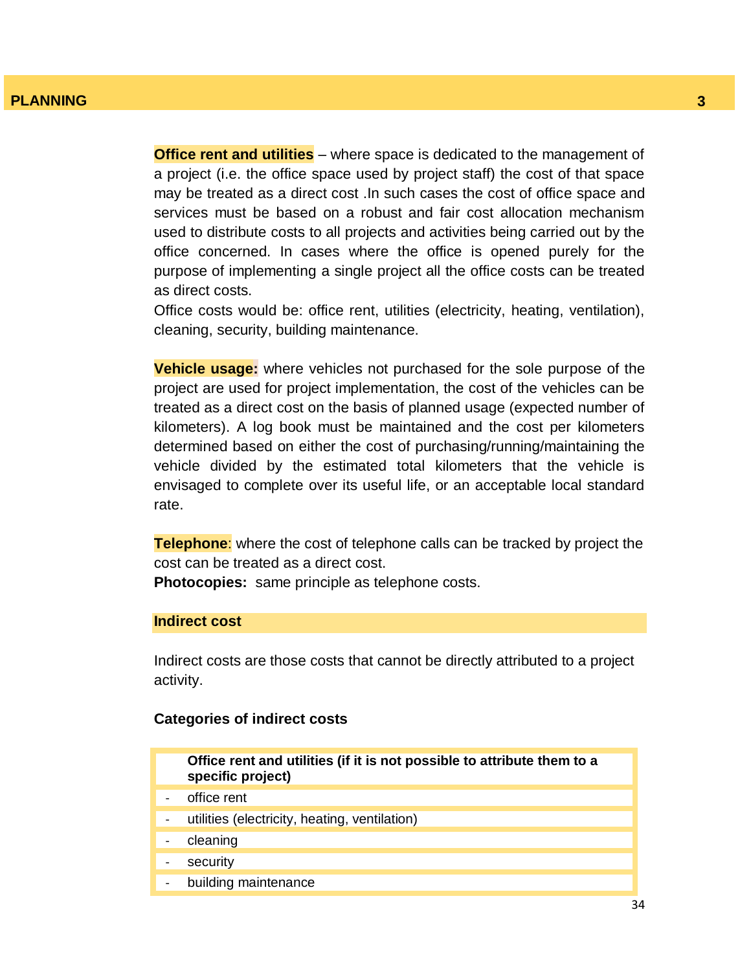**Office rent and utilities** – where space is dedicated to the management of a project (i.e. the office space used by project staff) the cost of that space may be treated as a direct cost .In such cases the cost of office space and services must be based on a robust and fair cost allocation mechanism used to distribute costs to all projects and activities being carried out by the office concerned. In cases where the office is opened purely for the purpose of implementing a single project all the office costs can be treated as direct costs.

Office costs would be: office rent, utilities (electricity, heating, ventilation), cleaning, security, building maintenance.

**Vehicle usage:** where vehicles not purchased for the sole purpose of the project are used for project implementation, the cost of the vehicles can be treated as a direct cost on the basis of planned usage (expected number of kilometers). A log book must be maintained and the cost per kilometers determined based on either the cost of purchasing/running/maintaining the vehicle divided by the estimated total kilometers that the vehicle is envisaged to complete over its useful life, or an acceptable local standard rate.

**Telephone**: where the cost of telephone calls can be tracked by project the cost can be treated as a direct cost.

**Photocopies:** same principle as telephone costs.

#### **Indirect cost**

Indirect costs are those costs that cannot be directly attributed to a project activity.

#### **Categories of indirect costs**

| Office rent and utilities (if it is not possible to attribute them to a<br>specific project) |
|----------------------------------------------------------------------------------------------|
| office rent                                                                                  |
| utilities (electricity, heating, ventilation)                                                |
| cleaning                                                                                     |
| security                                                                                     |
| building maintenance                                                                         |
|                                                                                              |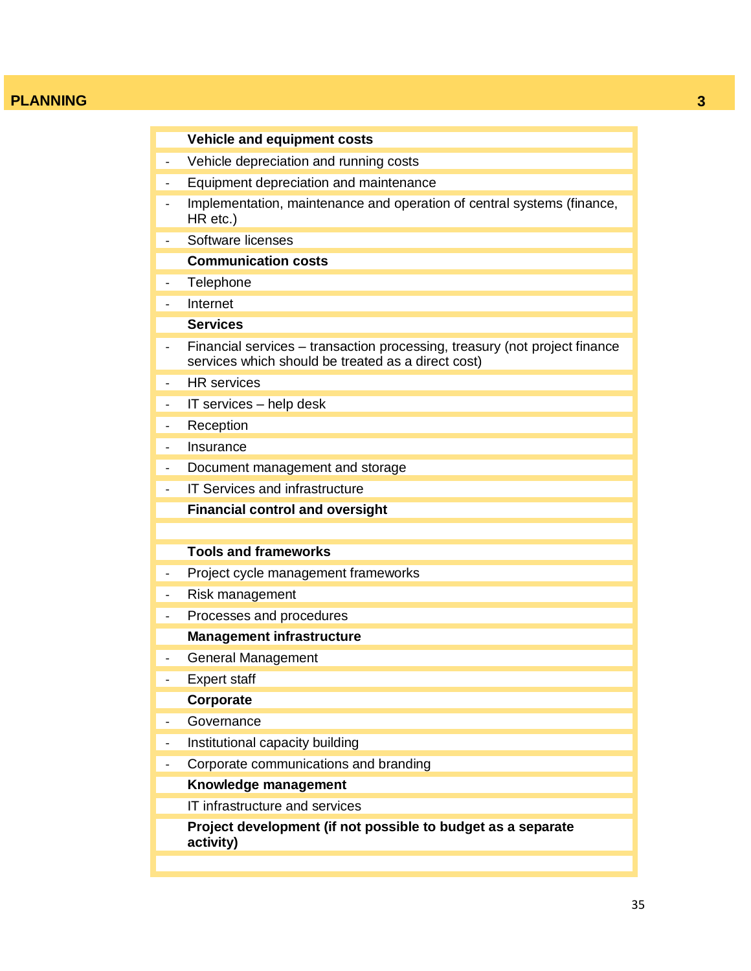|                              | <b>Vehicle and equipment costs</b>                                                                                               |
|------------------------------|----------------------------------------------------------------------------------------------------------------------------------|
| $\overline{\phantom{0}}$     | Vehicle depreciation and running costs                                                                                           |
|                              | Equipment depreciation and maintenance                                                                                           |
|                              | Implementation, maintenance and operation of central systems (finance,<br>HR etc.)                                               |
|                              | Software licenses                                                                                                                |
|                              | <b>Communication costs</b>                                                                                                       |
|                              | Telephone                                                                                                                        |
|                              | Internet                                                                                                                         |
|                              | <b>Services</b>                                                                                                                  |
|                              | Financial services – transaction processing, treasury (not project finance<br>services which should be treated as a direct cost) |
|                              | <b>HR</b> services                                                                                                               |
|                              | IT services - help desk                                                                                                          |
|                              | Reception                                                                                                                        |
| $\overline{\phantom{a}}$     | Insurance                                                                                                                        |
| $\overline{\phantom{a}}$     | Document management and storage                                                                                                  |
| $\overline{\phantom{a}}$     | IT Services and infrastructure                                                                                                   |
|                              | <b>Financial control and oversight</b>                                                                                           |
|                              |                                                                                                                                  |
|                              | <b>Tools and frameworks</b>                                                                                                      |
| $\qquad \qquad -$            | Project cycle management frameworks                                                                                              |
|                              | Risk management                                                                                                                  |
| $\overline{\phantom{a}}$     | Processes and procedures                                                                                                         |
|                              | <b>Management infrastructure</b>                                                                                                 |
| $\qquad \qquad \blacksquare$ | <b>General Management</b>                                                                                                        |
|                              | <b>Expert staff</b>                                                                                                              |
|                              | Corporate                                                                                                                        |
|                              | Governance                                                                                                                       |
| $\overline{\phantom{0}}$     | Institutional capacity building                                                                                                  |
| -                            | Corporate communications and branding                                                                                            |
|                              | Knowledge management                                                                                                             |
|                              | IT infrastructure and services                                                                                                   |
|                              | Project development (if not possible to budget as a separate<br>activity)                                                        |
|                              |                                                                                                                                  |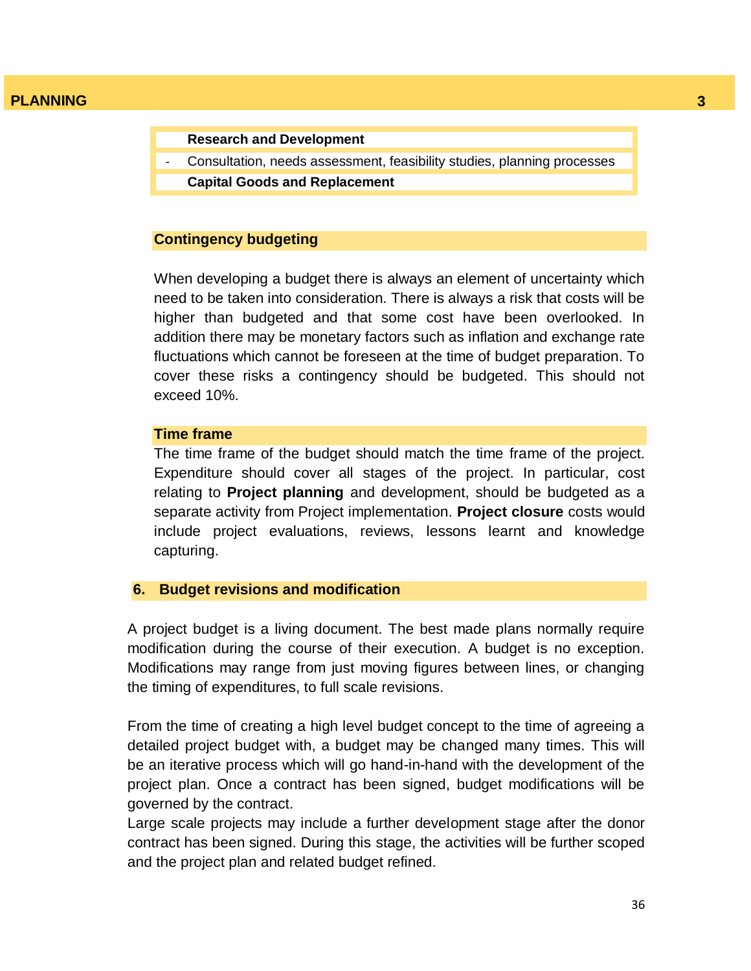**Research and Development**

- Consultation, needs assessment, feasibility studies, planning processes
- **Capital Goods and Replacement**

#### **Contingency budgeting**

When developing a budget there is always an element of uncertainty which need to be taken into consideration. There is always a risk that costs will be higher than budgeted and that some cost have been overlooked. In addition there may be monetary factors such as inflation and exchange rate fluctuations which cannot be foreseen at the time of budget preparation. To cover these risks a contingency should be budgeted. This should not exceed 10%.

#### **Time frame**

The time frame of the budget should match the time frame of the project. Expenditure should cover all stages of the project. In particular, cost relating to **Project planning** and development, should be budgeted as a separate activity from Project implementation. **Project closure** costs would include project evaluations, reviews, lessons learnt and knowledge capturing.

#### **6. Budget revisions and modification**

A project budget is a living document. The best made plans normally require modification during the course of their execution. A budget is no exception. Modifications may range from just moving figures between lines, or changing the timing of expenditures, to full scale revisions.

From the time of creating a high level budget concept to the time of agreeing a detailed project budget with, a budget may be changed many times. This will be an iterative process which will go hand-in-hand with the development of the project plan. Once a contract has been signed, budget modifications will be governed by the contract.

Large scale projects may include a further development stage after the donor contract has been signed. During this stage, the activities will be further scoped and the project plan and related budget refined.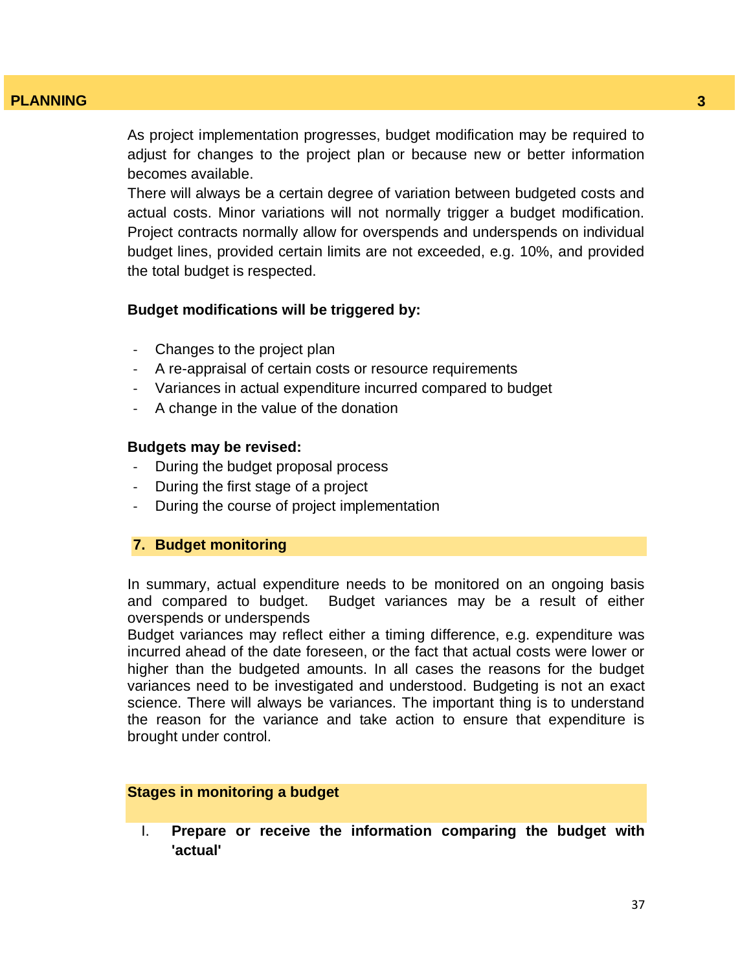As project implementation progresses, budget modification may be required to adjust for changes to the project plan or because new or better information becomes available.

There will always be a certain degree of variation between budgeted costs and actual costs. Minor variations will not normally trigger a budget modification. Project contracts normally allow for overspends and underspends on individual budget lines, provided certain limits are not exceeded, e.g. 10%, and provided the total budget is respected.

#### **Budget modifications will be triggered by:**

- Changes to the project plan
- A re-appraisal of certain costs or resource requirements
- Variances in actual expenditure incurred compared to budget
- A change in the value of the donation

#### **Budgets may be revised:**

- During the budget proposal process
- During the first stage of a project
- During the course of project implementation

#### **7. Budget monitoring**

In summary, actual expenditure needs to be monitored on an ongoing basis and compared to budget. Budget variances may be a result of either overspends or underspends

Budget variances may reflect either a timing difference, e.g. expenditure was incurred ahead of the date foreseen, or the fact that actual costs were lower or higher than the budgeted amounts. In all cases the reasons for the budget variances need to be investigated and understood. Budgeting is not an exact science. There will always be variances. The important thing is to understand the reason for the variance and take action to ensure that expenditure is brought under control.

#### **Stages in monitoring a budget**

I. **Prepare or receive the information comparing the budget with 'actual'**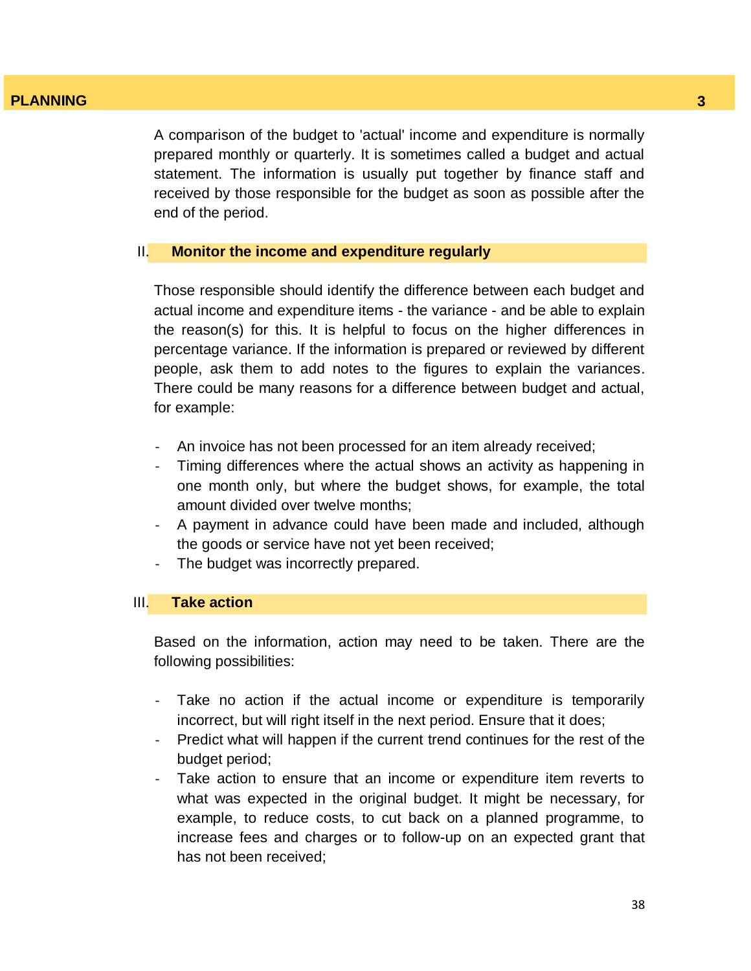A comparison of the budget to 'actual' income and expenditure is normally prepared monthly or quarterly. It is sometimes called a budget and actual statement. The information is usually put together by finance staff and received by those responsible for the budget as soon as possible after the end of the period.

#### II. **Monitor the income and expenditure regularly**

Those responsible should identify the difference between each budget and actual income and expenditure items - the variance - and be able to explain the reason(s) for this. It is helpful to focus on the higher differences in percentage variance. If the information is prepared or reviewed by different people, ask them to add notes to the figures to explain the variances. There could be many reasons for a difference between budget and actual, for example:

- An invoice has not been processed for an item already received;
- Timing differences where the actual shows an activity as happening in one month only, but where the budget shows, for example, the total amount divided over twelve months;
- A payment in advance could have been made and included, although the goods or service have not yet been received;
- The budget was incorrectly prepared.

#### III. **Take action**

Based on the information, action may need to be taken. There are the following possibilities:

- Take no action if the actual income or expenditure is temporarily incorrect, but will right itself in the next period. Ensure that it does;
- Predict what will happen if the current trend continues for the rest of the budget period;
- Take action to ensure that an income or expenditure item reverts to what was expected in the original budget. It might be necessary, for example, to reduce costs, to cut back on a planned programme, to increase fees and charges or to follow-up on an expected grant that has not been received;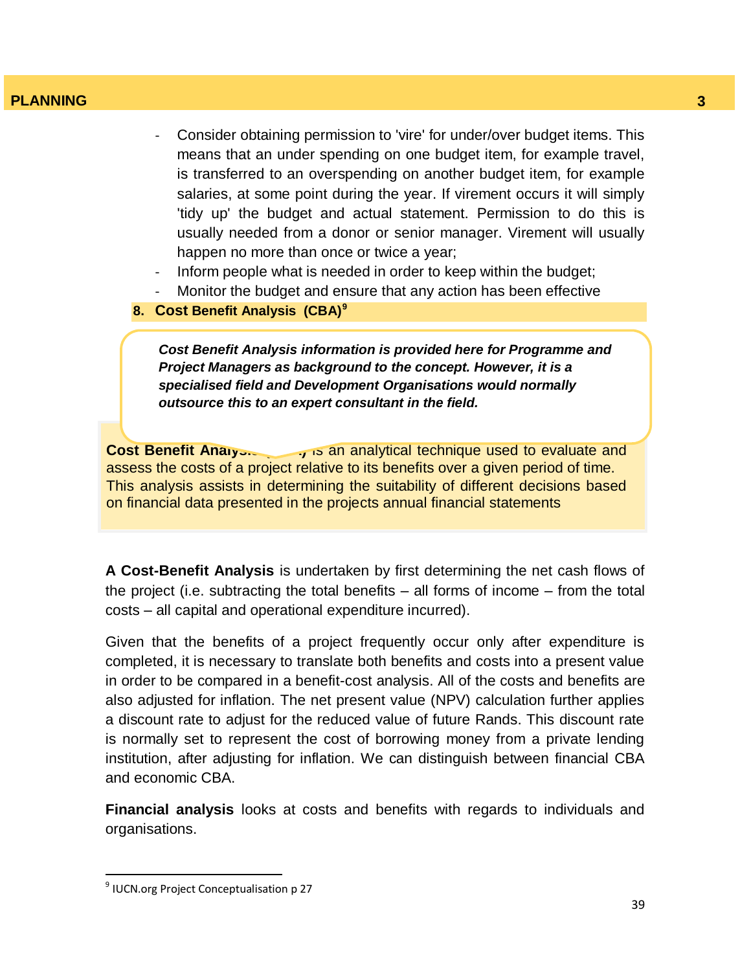- Consider obtaining permission to 'vire' for under/over budget items. This means that an under spending on one budget item, for example travel, is transferred to an overspending on another budget item, for example salaries, at some point during the year. If virement occurs it will simply 'tidy up' the budget and actual statement. Permission to do this is usually needed from a donor or senior manager. Virement will usually happen no more than once or twice a year;
- Inform people what is needed in order to keep within the budget;
- Monitor the budget and ensure that any action has been effective
- **8. Cost Benefit Analysis (CBA)<sup>9</sup>**

*Cost Benefit Analysis information is provided here for Programme and Project Managers as background to the concept. However, it is a specialised field and Development Organisations would normally outsource this to an expert consultant in the field.* 

**Cost Benefit Analyon and is an analytical technique used to evaluate and** assess the costs of a project relative to its benefits over a given period of time. This analysis assists in determining the suitability of different decisions based on financial data presented in the projects annual financial statements

**A Cost-Benefit Analysis** is undertaken by first determining the net cash flows of the project (i.e. subtracting the total benefits – all forms of income – from the total costs – all capital and operational expenditure incurred).

Given that the benefits of a project frequently occur only after expenditure is completed, it is necessary to translate both benefits and costs into a present value in order to be compared in a benefit-cost analysis. All of the costs and benefits are also adjusted for inflation. The net present value (NPV) calculation further applies a discount rate to adjust for the reduced value of future Rands. This discount rate is normally set to represent the cost of borrowing money from a private lending institution, after adjusting for inflation. We can distinguish between financial CBA and economic CBA.

**Financial analysis** looks at costs and benefits with regards to individuals and organisations.

 9 IUCN.org Project Conceptualisation p 27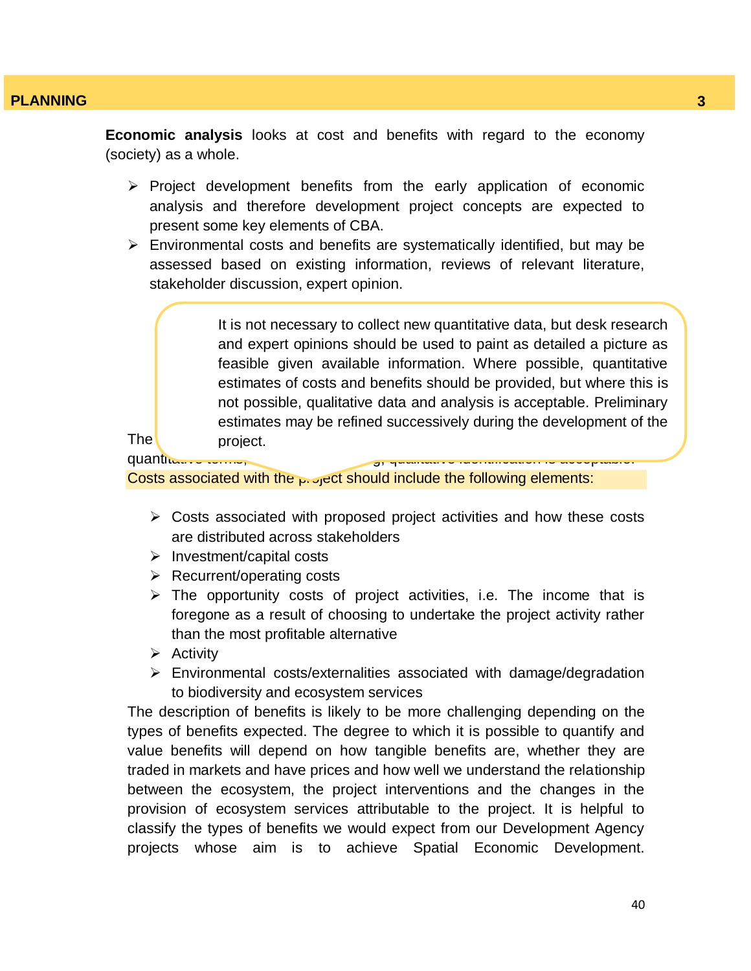**Economic analysis** looks at cost and benefits with regard to the economy (society) as a whole.

- $\triangleright$  Project development benefits from the early application of economic analysis and therefore development project concepts are expected to present some key elements of CBA.
- $\triangleright$  Environmental costs and benefits are systematically identified, but may be assessed based on existing information, reviews of relevant literature, stakeholder discussion, expert opinion.

The distribution of contracts show of costs and benefits shown in  $\mathbb{R}^n$  is project. It is not necessary to collect new quantitative data, but desk research and expert opinions should be used to paint as detailed a picture as feasible given available information. Where possible, quantitative estimates of costs and benefits should be provided, but where this is not possible, qualitative data and analysis is acceptable. Preliminary estimates may be refined successively during the development of the project.

quantitative terms,

Costs associated with the  $_{P}$  of get should include the following elements:

- $\triangleright$  Costs associated with proposed project activities and how these costs are distributed across stakeholders
- $\triangleright$  Investment/capital costs
- $\triangleright$  Recurrent/operating costs
- $\triangleright$  The opportunity costs of project activities, i.e. The income that is foregone as a result of choosing to undertake the project activity rather than the most profitable alternative
- $\triangleright$  Activity
- $\triangleright$  Environmental costs/externalities associated with damage/degradation to biodiversity and ecosystem services

The description of benefits is likely to be more challenging depending on the types of benefits expected. The degree to which it is possible to quantify and value benefits will depend on how tangible benefits are, whether they are traded in markets and have prices and how well we understand the relationship between the ecosystem, the project interventions and the changes in the provision of ecosystem services attributable to the project. It is helpful to classify the types of benefits we would expect from our Development Agency projects whose aim is to achieve Spatial Economic Development.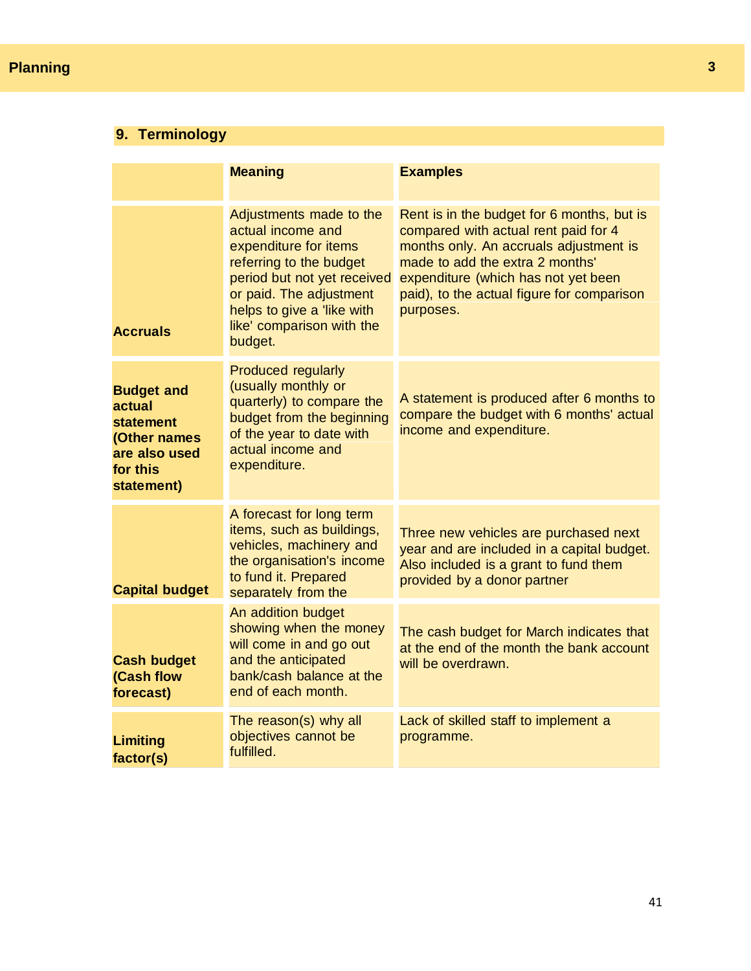# **Planning**

# **9. Terminology**

|                                                                                                            | <b>Meaning</b>                                                                                                                                                                                                                   | <b>Examples</b>                                                                                                                                                                                                                                                   |
|------------------------------------------------------------------------------------------------------------|----------------------------------------------------------------------------------------------------------------------------------------------------------------------------------------------------------------------------------|-------------------------------------------------------------------------------------------------------------------------------------------------------------------------------------------------------------------------------------------------------------------|
| <b>Accruals</b>                                                                                            | Adjustments made to the<br>actual income and<br>expenditure for items<br>referring to the budget<br>period but not yet received<br>or paid. The adjustment<br>helps to give a 'like with<br>like' comparison with the<br>budget. | Rent is in the budget for 6 months, but is<br>compared with actual rent paid for 4<br>months only. An accruals adjustment is<br>made to add the extra 2 months'<br>expenditure (which has not yet been<br>paid), to the actual figure for comparison<br>purposes. |
| <b>Budget and</b><br>actual<br><b>statement</b><br>(Other names<br>are also used<br>for this<br>statement) | Produced regularly<br>(usually monthly or<br>quarterly) to compare the<br>budget from the beginning<br>of the year to date with<br>actual income and<br>expenditure.                                                             | A statement is produced after 6 months to<br>compare the budget with 6 months' actual<br>income and expenditure.                                                                                                                                                  |
| <b>Capital budget</b>                                                                                      | A forecast for long term<br>items, such as buildings,<br>vehicles, machinery and<br>the organisation's income<br>to fund it. Prepared<br>separately from the                                                                     | Three new vehicles are purchased next<br>year and are included in a capital budget.<br>Also included is a grant to fund them<br>provided by a donor partner                                                                                                       |
| <b>Cash budget</b><br>(Cash flow<br>forecast)                                                              | An addition budget<br>showing when the money<br>will come in and go out<br>and the anticipated<br>bank/cash balance at the<br>end of each month.                                                                                 | The cash budget for March indicates that<br>at the end of the month the bank account<br>will be overdrawn.                                                                                                                                                        |
| <b>Limiting</b><br>factor(s)                                                                               | The reason(s) why all<br>objectives cannot be<br>fulfilled.                                                                                                                                                                      | Lack of skilled staff to implement a<br>programme.                                                                                                                                                                                                                |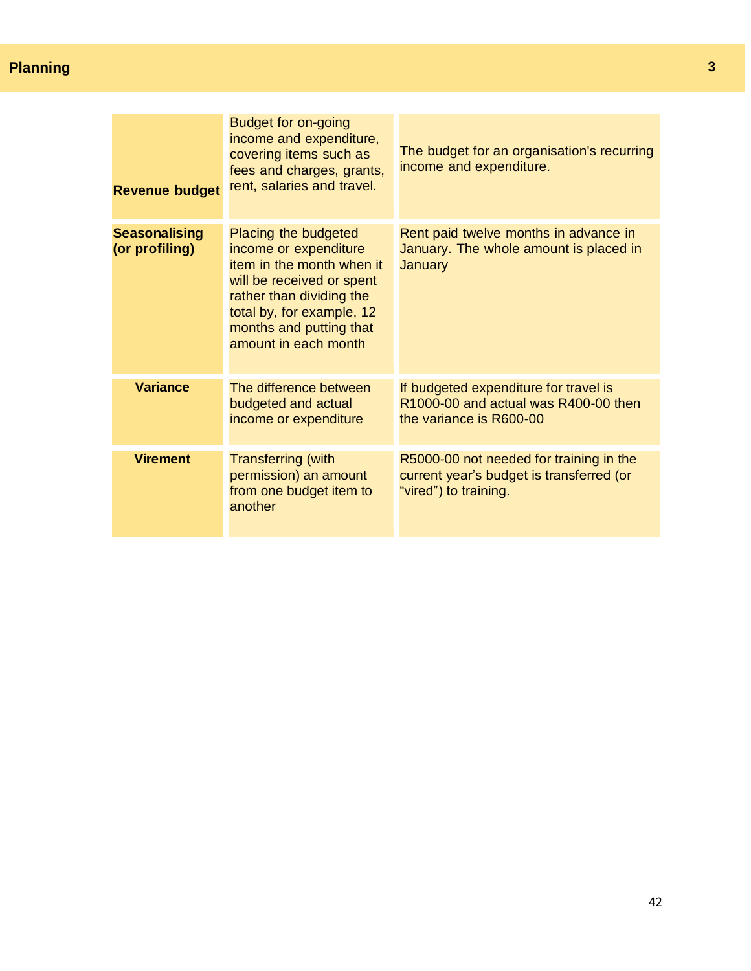# **Planning**

| <b>Revenue budget</b>                  | <b>Budget for on-going</b><br>income and expenditure,<br>covering items such as<br>fees and charges, grants,<br>rent, salaries and travel.                                                                          | The budget for an organisation's recurring<br>income and expenditure.                                        |
|----------------------------------------|---------------------------------------------------------------------------------------------------------------------------------------------------------------------------------------------------------------------|--------------------------------------------------------------------------------------------------------------|
| <b>Seasonalising</b><br>(or profiling) | Placing the budgeted<br>income or expenditure<br>item in the month when it<br>will be received or spent<br>rather than dividing the<br>total by, for example, 12<br>months and putting that<br>amount in each month | Rent paid twelve months in advance in<br>January. The whole amount is placed in<br>January                   |
| <b>Variance</b>                        | The difference between<br>budgeted and actual<br>income or expenditure                                                                                                                                              | If budgeted expenditure for travel is<br>R1000-00 and actual was R400-00 then<br>the variance is R600-00     |
| <b>Virement</b>                        | <b>Transferring (with</b><br>permission) an amount<br>from one budget item to<br>another                                                                                                                            | R5000-00 not needed for training in the<br>current year's budget is transferred (or<br>"vired") to training. |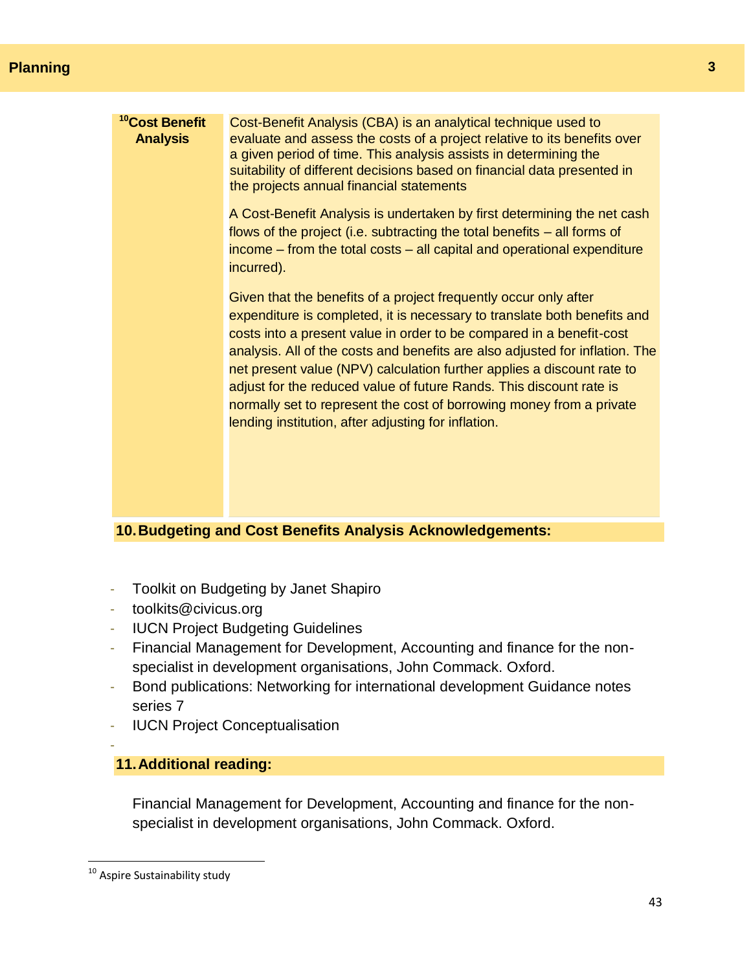| <sup>10</sup> Cost Benefit<br><b>Analysis</b> | Cost-Benefit Analysis (CBA) is an analytical technique used to<br>evaluate and assess the costs of a project relative to its benefits over<br>a given period of time. This analysis assists in determining the<br>suitability of different decisions based on financial data presented in<br>the projects annual financial statements                                                                                                                                                                                                                                                |
|-----------------------------------------------|--------------------------------------------------------------------------------------------------------------------------------------------------------------------------------------------------------------------------------------------------------------------------------------------------------------------------------------------------------------------------------------------------------------------------------------------------------------------------------------------------------------------------------------------------------------------------------------|
|                                               | A Cost-Benefit Analysis is undertaken by first determining the net cash<br>flows of the project (i.e. subtracting the total benefits $-$ all forms of<br>income – from the total costs – all capital and operational expenditure<br>incurred).                                                                                                                                                                                                                                                                                                                                       |
|                                               | Given that the benefits of a project frequently occur only after<br>expenditure is completed, it is necessary to translate both benefits and<br>costs into a present value in order to be compared in a benefit-cost<br>analysis. All of the costs and benefits are also adjusted for inflation. The<br>net present value (NPV) calculation further applies a discount rate to<br>adjust for the reduced value of future Rands. This discount rate is<br>normally set to represent the cost of borrowing money from a private<br>lending institution, after adjusting for inflation. |
|                                               |                                                                                                                                                                                                                                                                                                                                                                                                                                                                                                                                                                                      |

# **10.Budgeting and Cost Benefits Analysis Acknowledgements:**

- Toolkit on Budgeting by Janet Shapiro
- toolkits@civicus.org
- IUCN Project Budgeting Guidelines
- Financial Management for Development, Accounting and finance for the nonspecialist in development organisations, John Commack. Oxford.
- Bond publications: Networking for international development Guidance notes series 7
- **IUCN Project Conceptualisation**

# **11.Additional reading:**

Financial Management for Development, Accounting and finance for the nonspecialist in development organisations, John Commack. Oxford.

-

 $\overline{\phantom{a}}$ 

<sup>&</sup>lt;sup>10</sup> Aspire Sustainability study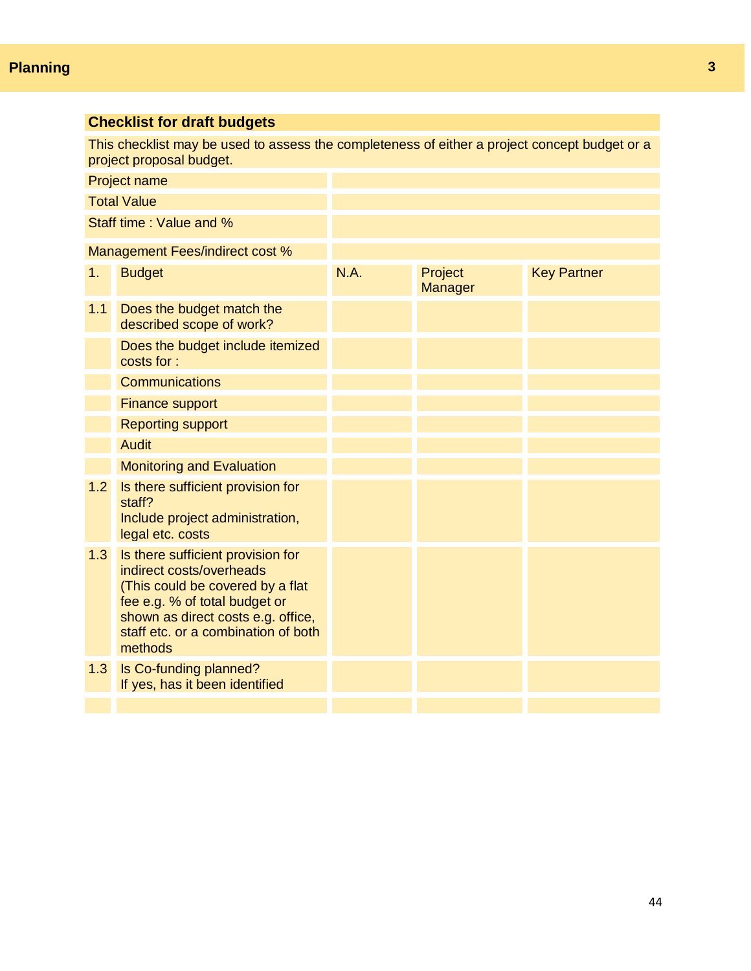| <b>Checklist for draft budgets</b>                                                                                        |                                                                                                                                                                                                                            |      |                    |                    |  |
|---------------------------------------------------------------------------------------------------------------------------|----------------------------------------------------------------------------------------------------------------------------------------------------------------------------------------------------------------------------|------|--------------------|--------------------|--|
| This checklist may be used to assess the completeness of either a project concept budget or a<br>project proposal budget. |                                                                                                                                                                                                                            |      |                    |                    |  |
|                                                                                                                           | <b>Project name</b>                                                                                                                                                                                                        |      |                    |                    |  |
|                                                                                                                           | <b>Total Value</b>                                                                                                                                                                                                         |      |                    |                    |  |
|                                                                                                                           | Staff time: Value and %                                                                                                                                                                                                    |      |                    |                    |  |
|                                                                                                                           | Management Fees/indirect cost %                                                                                                                                                                                            |      |                    |                    |  |
| 1.                                                                                                                        | <b>Budget</b>                                                                                                                                                                                                              | N.A. | Project<br>Manager | <b>Key Partner</b> |  |
| 1.1                                                                                                                       | Does the budget match the<br>described scope of work?                                                                                                                                                                      |      |                    |                    |  |
|                                                                                                                           | Does the budget include itemized<br>costs for:                                                                                                                                                                             |      |                    |                    |  |
|                                                                                                                           | <b>Communications</b>                                                                                                                                                                                                      |      |                    |                    |  |
|                                                                                                                           | <b>Finance support</b>                                                                                                                                                                                                     |      |                    |                    |  |
|                                                                                                                           | <b>Reporting support</b>                                                                                                                                                                                                   |      |                    |                    |  |
|                                                                                                                           | <b>Audit</b>                                                                                                                                                                                                               |      |                    |                    |  |
|                                                                                                                           | <b>Monitoring and Evaluation</b>                                                                                                                                                                                           |      |                    |                    |  |
| 1.2                                                                                                                       | Is there sufficient provision for<br>staff?<br>Include project administration,<br>legal etc. costs                                                                                                                         |      |                    |                    |  |
| 1.3                                                                                                                       | Is there sufficient provision for<br>indirect costs/overheads<br>(This could be covered by a flat<br>fee e.g. % of total budget or<br>shown as direct costs e.g. office,<br>staff etc. or a combination of both<br>methods |      |                    |                    |  |
| 1.3                                                                                                                       | Is Co-funding planned?<br>If yes, has it been identified                                                                                                                                                                   |      |                    |                    |  |
|                                                                                                                           |                                                                                                                                                                                                                            |      |                    |                    |  |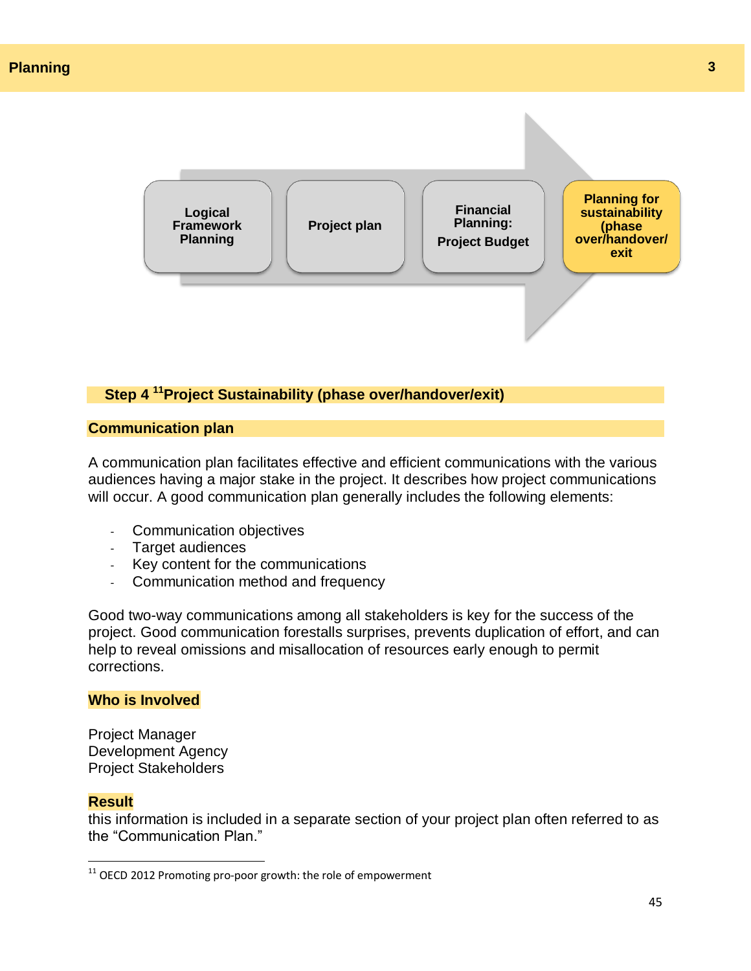

# **Step 4 <sup>11</sup>Project Sustainability (phase over/handover/exit)**

#### **Communication plan**

A communication plan facilitates effective and efficient communications with the various audiences having a major stake in the project. It describes how project communications will occur. A good communication plan generally includes the following elements:

- Communication objectives
- Target audiences
- Key content for the communications
- Communication method and frequency

Good two-way communications among all stakeholders is key for the success of the project. Good communication forestalls surprises, prevents duplication of effort, and can help to reveal omissions and misallocation of resources early enough to permit corrections.

# **Who is Involved**

Project Manager Development Agency Project Stakeholders

#### **Result**

 $\overline{\phantom{a}}$ 

this information is included in a separate section of your project plan often referred to as the "Communication Plan."

 $^{11}$  OECD 2012 Promoting pro-poor growth: the role of empowerment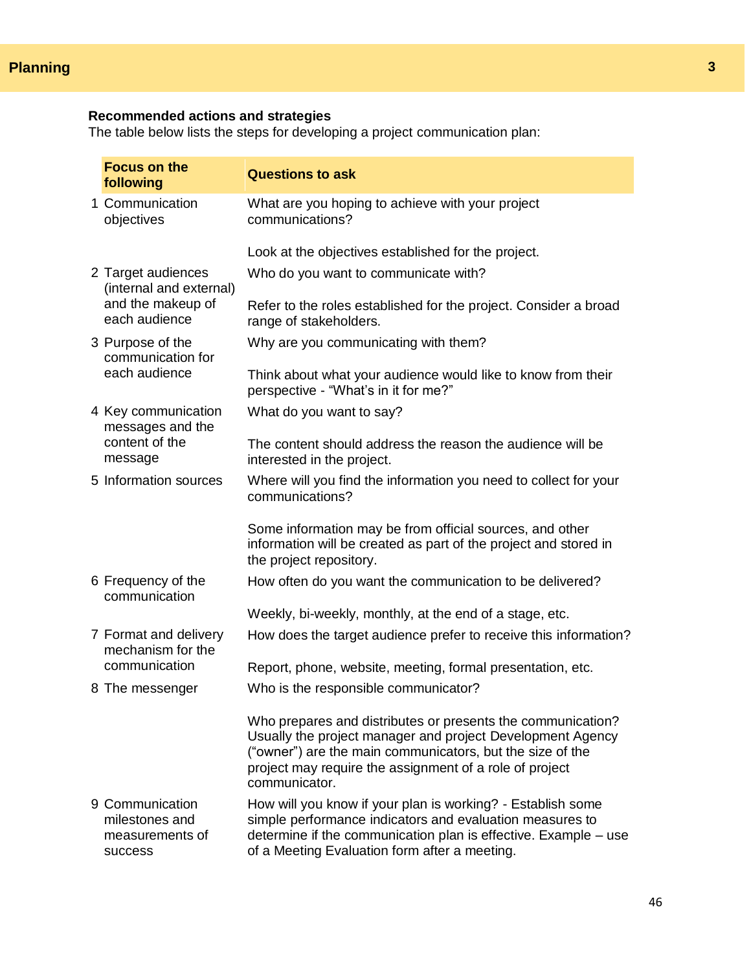#### **Recommended actions and strategies**

The table below lists the steps for developing a project communication plan:

|  | <b>Focus on the</b><br>following                                       | <b>Questions to ask</b>                                                                                                                                                                                                                                            |
|--|------------------------------------------------------------------------|--------------------------------------------------------------------------------------------------------------------------------------------------------------------------------------------------------------------------------------------------------------------|
|  | 1 Communication<br>objectives                                          | What are you hoping to achieve with your project<br>communications?                                                                                                                                                                                                |
|  |                                                                        | Look at the objectives established for the project.                                                                                                                                                                                                                |
|  | 2 Target audiences<br>(internal and external)                          | Who do you want to communicate with?                                                                                                                                                                                                                               |
|  | and the makeup of<br>each audience                                     | Refer to the roles established for the project. Consider a broad<br>range of stakeholders.                                                                                                                                                                         |
|  | 3 Purpose of the<br>communication for<br>each audience                 | Why are you communicating with them?                                                                                                                                                                                                                               |
|  |                                                                        | Think about what your audience would like to know from their<br>perspective - "What's in it for me?"                                                                                                                                                               |
|  | 4 Key communication<br>messages and the<br>content of the<br>message   | What do you want to say?                                                                                                                                                                                                                                           |
|  |                                                                        | The content should address the reason the audience will be<br>interested in the project.                                                                                                                                                                           |
|  | 5 Information sources                                                  | Where will you find the information you need to collect for your<br>communications?                                                                                                                                                                                |
|  |                                                                        | Some information may be from official sources, and other<br>information will be created as part of the project and stored in<br>the project repository.                                                                                                            |
|  | 6 Frequency of the<br>communication                                    | How often do you want the communication to be delivered?                                                                                                                                                                                                           |
|  |                                                                        | Weekly, bi-weekly, monthly, at the end of a stage, etc.                                                                                                                                                                                                            |
|  | 7 Format and delivery<br>mechanism for the                             | How does the target audience prefer to receive this information?                                                                                                                                                                                                   |
|  | communication                                                          | Report, phone, website, meeting, formal presentation, etc.                                                                                                                                                                                                         |
|  | 8 The messenger                                                        | Who is the responsible communicator?                                                                                                                                                                                                                               |
|  |                                                                        | Who prepares and distributes or presents the communication?<br>Usually the project manager and project Development Agency<br>("owner") are the main communicators, but the size of the<br>project may require the assignment of a role of project<br>communicator. |
|  | 9 Communication<br>milestones and<br>measurements of<br><b>SUCCESS</b> | How will you know if your plan is working? - Establish some<br>simple performance indicators and evaluation measures to<br>determine if the communication plan is effective. Example - use<br>of a Meeting Evaluation form after a meeting.                        |